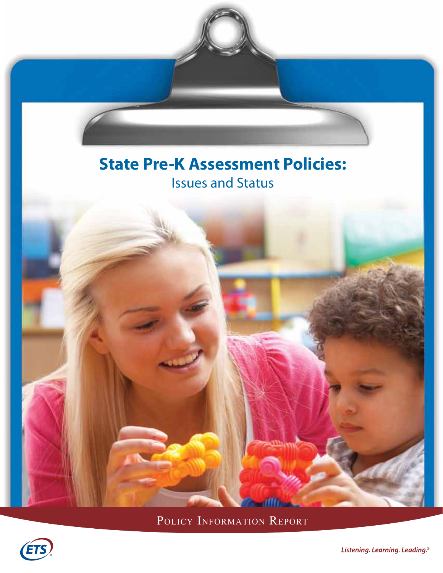# **State Pre-K Assessment Policies:** Issues and Status



POLICY INFORMATION REPORT

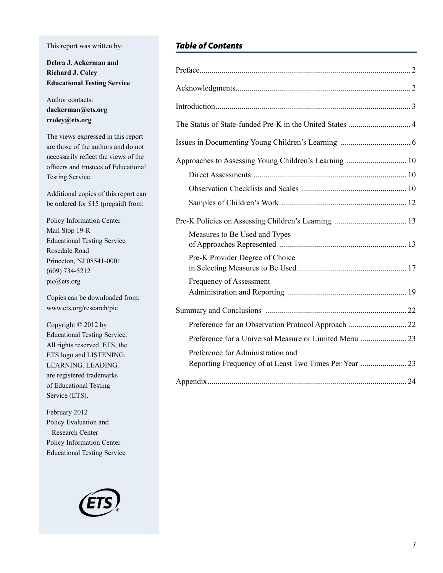#### This report was written by:

**Debra J. Ackerman and Richard J. Coley Educational Testing Service**

Author contacts: **dackerman@ets.org rcoley@ets.org**

The views expressed in this report are those of the authors and do not necessarily reflect the views of the officers and trustees of Educational Testing Service.

Additional copies of this report can be ordered for \$15 (prepaid) from:

Policy Information Center Mail Stop 19-R Educational Testing Service Rosedale Road Princeton, NJ 08541-0001 (609) 734-5212 pic@ets.org

Copies can be downloaded from: www.ets.org/research/pic

Copyright © 2012 by Educational Testing Service. All rights reserved. ETS, the ETS logo and LISTENING. LEARNING. LEADING. are registered trademarks of Educational Testing Service (ETS).

February 2012 Policy Evaluation and Research Center Policy Information Center Educational Testing Service



## *Table of Contents*

| Measures to Be Used and Types                          |  |
|--------------------------------------------------------|--|
| Pre-K Provider Degree of Choice                        |  |
| Frequency of Assessment                                |  |
|                                                        |  |
|                                                        |  |
|                                                        |  |
| Preference for Administration and                      |  |
| Reporting Frequency of at Least Two Times Per Year  23 |  |
|                                                        |  |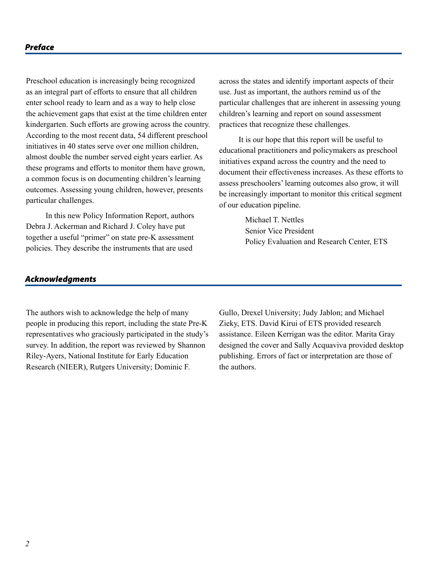#### *Preface*

Preschool education is increasingly being recognized as an integral part of efforts to ensure that all children enter school ready to learn and as a way to help close the achievement gaps that exist at the time children enter kindergarten. Such efforts are growing across the country. According to the most recent data, 54 different preschool initiatives in 40 states serve over one million children, almost double the number served eight years earlier. As these programs and efforts to monitor them have grown, a common focus is on documenting children's learning outcomes. Assessing young children, however, presents particular challenges.

In this new Policy Information Report, authors Debra J. Ackerman and Richard J. Coley have put together a useful "primer" on state pre-K assessment policies. They describe the instruments that are used

across the states and identify important aspects of their use. Just as important, the authors remind us of the particular challenges that are inherent in assessing young children's learning and report on sound assessment practices that recognize these challenges.

It is our hope that this report will be useful to educational practitioners and policymakers as preschool initiatives expand across the country and the need to document their effectiveness increases. As these efforts to assess preschoolers' learning outcomes also grow, it will be increasingly important to monitor this critical segment of our education pipeline.

> Michael T. Nettles Senior Vice President Policy Evaluation and Research Center, ETS

#### *Acknowledgments*

The authors wish to acknowledge the help of many people in producing this report, including the state Pre-K representatives who graciously participated in the study's survey. In addition, the report was reviewed by Shannon Riley-Ayers, National Institute for Early Education Research (NIEER), Rutgers University; Dominic F.

Gullo, Drexel University; Judy Jablon; and Michael Zieky, ETS. David Kirui of ETS provided research assistance. Eileen Kerrigan was the editor. Marita Gray designed the cover and Sally Acquaviva provided desktop publishing. Errors of fact or interpretation are those of the authors.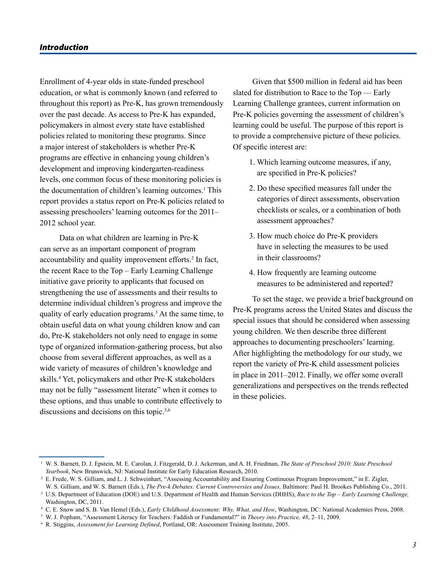#### *Introduction*

Enrollment of 4-year olds in state-funded preschool education, or what is commonly known (and referred to throughout this report) as Pre-K, has grown tremendously over the past decade. As access to Pre-K has expanded, policymakers in almost every state have established policies related to monitoring these programs. Since a major interest of stakeholders is whether Pre-K programs are effective in enhancing young children's development and improving kindergarten-readiness levels, one common focus of these monitoring policies is the documentation of children's learning outcomes.1 This report provides a status report on Pre-K policies related to assessing preschoolers' learning outcomes for the 2011– 2012 school year.

Data on what children are learning in Pre-K can serve as an important component of program accountability and quality improvement efforts.<sup>2</sup> In fact, the recent Race to the Top – Early Learning Challenge initiative gave priority to applicants that focused on strengthening the use of assessments and their results to determine individual children's progress and improve the quality of early education programs.<sup>3</sup> At the same time, to obtain useful data on what young children know and can do, Pre-K stakeholders not only need to engage in some type of organized information-gathering process, but also choose from several different approaches, as well as a wide variety of measures of children's knowledge and skills.4 Yet, policymakers and other Pre-K stakeholders may not be fully "assessment literate" when it comes to these options, and thus unable to contribute effectively to discussions and decisions on this topic.<sup>5,6</sup>

Given that \$500 million in federal aid has been slated for distribution to Race to the Top — Early Learning Challenge grantees, current information on Pre-K policies governing the assessment of children's learning could be useful. The purpose of this report is to provide a comprehensive picture of these policies. Of specific interest are:

- 1. Which learning outcome measures, if any, are specified in Pre-K policies?
- 2. Do these specified measures fall under the categories of direct assessments, observation checklists or scales, or a combination of both assessment approaches?
- 3. How much choice do Pre-K providers have in selecting the measures to be used in their classrooms?
- 4. How frequently are learning outcome measures to be administered and reported?

To set the stage, we provide a brief background on Pre-K programs across the United States and discuss the special issues that should be considered when assessing young children. We then describe three different approaches to documenting preschoolers' learning. After highlighting the methodology for our study, we report the variety of Pre-K child assessment policies in place in 2011–2012. Finally, we offer some overall generalizations and perspectives on the trends reflected in these policies.

<sup>1</sup> W. S. Barnett, D. J. Epstein, M. E. Carolan, J. Fitzgerald, D. J. Ackerman, and A. H. Friedman, *The State of Preschool 2010: State Preschool Yearbook*, New Brunswick, NJ: National Institute for Early Education Research, 2010.

<sup>2</sup> E. Frede, W. S. Gilliam, and L. J. Schweinhart, "Assessing Accountability and Ensuring Continuous Program Improvement," in E. Zigler,

W. S. Gilliam, and W. S. Barnett (Eds.), *The Pre-k Debates: Current Controversies and Issues,* Baltimore: Paul H. Brookes Publishing Co., 2011. <sup>3</sup> U.S. Department of Education (DOE) and U.S. Department of Health and Human Services (DHHS), *Race to the Top – Early Learning Challenge,*  Washington, DC, 2011.

<sup>4</sup> C. E. Snow and S. B. Van Hemel (Eds.), *Early Childhood Assessment: Why, What, and How*, Washington, DC: National Academies Press, 2008.

<sup>5</sup> W. J. Popham, "Assessment Literacy for Teachers: Faddish or Fundamental?" in *Theory into Practice, 48*, 2–11, 2009.

<sup>6</sup> R. Stiggins, *Assessment for Learning Defined*, Portland, OR: Assessment Training Institute, 2005.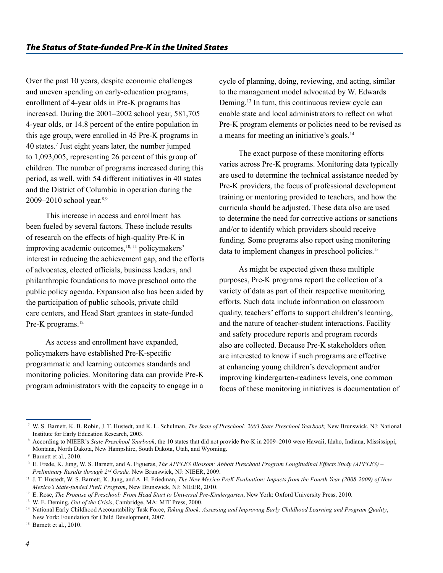Over the past 10 years, despite economic challenges and uneven spending on early-education programs, enrollment of 4-year olds in Pre-K programs has increased. During the 2001–2002 school year, 581,705 4-year olds, or 14.8 percent of the entire population in this age group, were enrolled in 45 Pre-K programs in 40 states.7 Just eight years later, the number jumped to 1,093,005, representing 26 percent of this group of children. The number of programs increased during this period, as well, with 54 different initiatives in 40 states and the District of Columbia in operation during the 2009–2010 school year.8,9

This increase in access and enrollment has been fueled by several factors. These include results of research on the effects of high-quality Pre-K in improving academic outcomes,<sup>10, 11</sup> policymakers' interest in reducing the achievement gap, and the efforts of advocates, elected officials, business leaders, and philanthropic foundations to move preschool onto the public policy agenda. Expansion also has been aided by the participation of public schools, private child care centers, and Head Start grantees in state-funded Pre-K programs.<sup>12</sup>

As access and enrollment have expanded, policymakers have established Pre-K-specific programmatic and learning outcomes standards and monitoring policies. Monitoring data can provide Pre-K program administrators with the capacity to engage in a cycle of planning, doing, reviewing, and acting, similar to the management model advocated by W. Edwards Deming.13 In turn, this continuous review cycle can enable state and local administrators to reflect on what Pre-K program elements or policies need to be revised as a means for meeting an initiative's goals.14

The exact purpose of these monitoring efforts varies across Pre-K programs. Monitoring data typically are used to determine the technical assistance needed by Pre-K providers, the focus of professional development training or mentoring provided to teachers, and how the curricula should be adjusted. These data also are used to determine the need for corrective actions or sanctions and/or to identify which providers should receive funding. Some programs also report using monitoring data to implement changes in preschool policies.<sup>15</sup>

As might be expected given these multiple purposes, Pre-K programs report the collection of a variety of data as part of their respective monitoring efforts. Such data include information on classroom quality, teachers' efforts to support children's learning, and the nature of teacher-student interactions. Facility and safety procedure reports and program records also are collected. Because Pre-K stakeholders often are interested to know if such programs are effective at enhancing young children's development and/or improving kindergarten-readiness levels, one common focus of these monitoring initiatives is documentation of

<sup>7</sup> W. S. Barnett, K. B. Robin, J. T. Hustedt, and K. L. Schulman, *The State of Preschool: 2003 State Preschool Yearbook,* New Brunswick, NJ: National Institute for Early Education Research, 2003.

<sup>8</sup> According to NIEER's *State Preschool Yearbook*, the 10 states that did not provide Pre-K in 2009–2010 were Hawaii, Idaho, Indiana, Mississippi, Montana, North Dakota, New Hampshire, South Dakota, Utah, and Wyoming.

<sup>9</sup> Barnett et al., 2010.

<sup>&</sup>lt;sup>10</sup> E. Frede, K. Jung, W. S. Barnett, and A. Figueras, *The APPLES Blossom: Abbott Preschool Program Longitudinal Effects Study (APPLES)* – *Preliminary Results through 2nd Grade,* New Brunswick, NJ: NIEER, 2009.

<sup>11</sup> J. T. Hustedt, W. S. Barnett, K. Jung, and A. H. Friedman, *The New Mexico PreK Evaluation: Impacts from the Fourth Year (2008-2009) of New Mexico's State-funded PreK Program*, New Brunswick, NJ: NIEER, 2010.

<sup>12</sup> E. Rose, *The Promise of Preschool: From Head Start to Universal Pre-Kindergarten*, New York: Oxford University Press, 2010.

<sup>13</sup> W. E. Deming, *Out of the Crisis*, Cambridge, MA: MIT Press, 2000.

<sup>14</sup> National Early Childhood Accountability Task Force, *Taking Stock: Assessing and Improving Early Childhood Learning and Program Quality*, New York: Foundation for Child Development, 2007.

<sup>&</sup>lt;sup>15</sup> Barnett et al., 2010.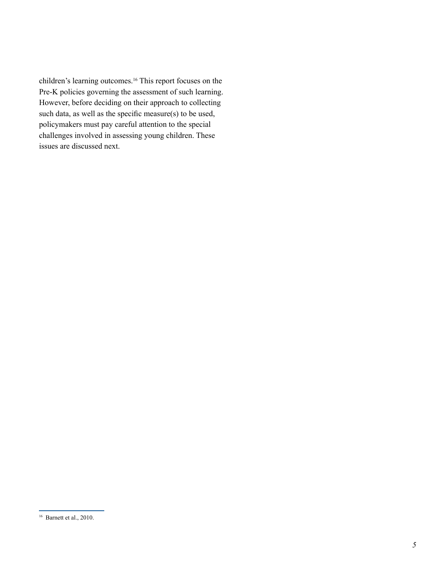children's learning outcomes.16 This report focuses on the Pre-K policies governing the assessment of such learning. However, before deciding on their approach to collecting such data, as well as the specific measure(s) to be used, policymakers must pay careful attention to the special challenges involved in assessing young children. These issues are discussed next.

<sup>16</sup> Barnett et al., 2010.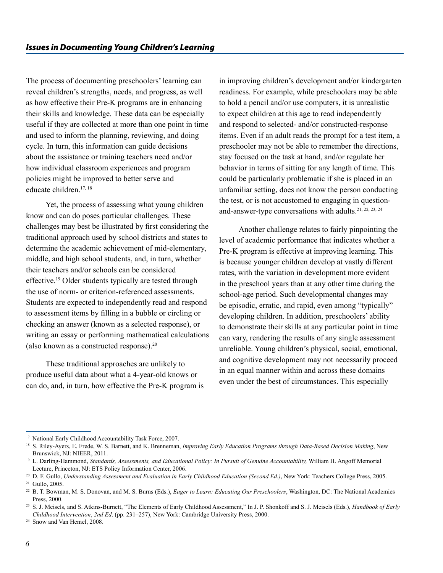The process of documenting preschoolers' learning can reveal children's strengths, needs, and progress, as well as how effective their Pre-K programs are in enhancing their skills and knowledge. These data can be especially useful if they are collected at more than one point in time and used to inform the planning, reviewing, and doing cycle. In turn, this information can guide decisions about the assistance or training teachers need and/or how individual classroom experiences and program policies might be improved to better serve and educate children<sup>17, 18</sup>

Yet, the process of assessing what young children know and can do poses particular challenges. These challenges may best be illustrated by first considering the traditional approach used by school districts and states to determine the academic achievement of mid-elementary, middle, and high school students, and, in turn, whether their teachers and/or schools can be considered effective.19 Older students typically are tested through the use of norm- or criterion-referenced assessments. Students are expected to independently read and respond to assessment items by filling in a bubble or circling or checking an answer (known as a selected response), or writing an essay or performing mathematical calculations (also known as a constructed response).20

These traditional approaches are unlikely to produce useful data about what a 4-year-old knows or can do, and, in turn, how effective the Pre-K program is

in improving children's development and/or kindergarten readiness. For example, while preschoolers may be able to hold a pencil and/or use computers, it is unrealistic to expect children at this age to read independently and respond to selected- and/or constructed-response items. Even if an adult reads the prompt for a test item, a preschooler may not be able to remember the directions, stay focused on the task at hand, and/or regulate her behavior in terms of sitting for any length of time. This could be particularly problematic if she is placed in an unfamiliar setting, does not know the person conducting the test, or is not accustomed to engaging in questionand-answer-type conversations with adults.21, 22, 23, <sup>24</sup>

Another challenge relates to fairly pinpointing the level of academic performance that indicates whether a Pre-K program is effective at improving learning. This is because younger children develop at vastly different rates, with the variation in development more evident in the preschool years than at any other time during the school-age period. Such developmental changes may be episodic, erratic, and rapid, even among "typically" developing children. In addition, preschoolers' ability to demonstrate their skills at any particular point in time can vary, rendering the results of any single assessment unreliable. Young children's physical, social, emotional, and cognitive development may not necessarily proceed in an equal manner within and across these domains even under the best of circumstances. This especially

<sup>&</sup>lt;sup>17</sup> National Early Childhood Accountability Task Force, 2007.

<sup>&</sup>lt;sup>18</sup> S. Riley-Ayers, E. Frede, W. S. Barnett, and K. Brenneman, *Improving Early Education Programs through Data-Based Decision Making*, New Brunswick, NJ: NIEER, 2011.

<sup>&</sup>lt;sup>19</sup> L. Darling-Hammond, Standards, Assessments, and Educational Policy: In Pursuit of Genuine Accountability, William H. Angoff Memorial Lecture, Princeton, NJ: ETS Policy Information Center, 2006.

<sup>&</sup>lt;sup>20</sup> D. F. Gullo, *Understanding Assessment and Evaluation in Early Childhood Education (Second Ed.)*, New York: Teachers College Press, 2005. <sup>21</sup> Gullo, 2005.

<sup>&</sup>lt;sup>22</sup> B. T. Bowman, M. S. Donovan, and M. S. Burns (Eds.), *Eager to Learn: Educating Our Preschoolers*, Washington, DC: The National Academies Press, 2000.

<sup>23</sup> S. J. Meisels, and S. Atkins-Burnett, "The Elements of Early Childhood Assessment," In J. P. Shonkoff and S. J. Meisels (Eds.), *Handbook of Early Childhood Intervention*, *2nd Ed*. (pp. 231–257), New York: Cambridge University Press, 2000.

<sup>&</sup>lt;sup>24</sup> Snow and Van Hemel, 2008.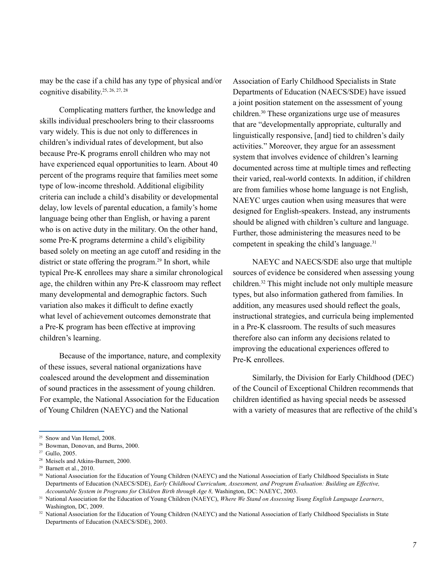may be the case if a child has any type of physical and/or cognitive disability.25, 26, 27, <sup>28</sup>

Complicating matters further, the knowledge and skills individual preschoolers bring to their classrooms vary widely. This is due not only to differences in children's individual rates of development, but also because Pre-K programs enroll children who may not have experienced equal opportunities to learn. About 40 percent of the programs require that families meet some type of low-income threshold. Additional eligibility criteria can include a child's disability or developmental delay, low levels of parental education, a family's home language being other than English, or having a parent who is on active duty in the military. On the other hand, some Pre-K programs determine a child's eligibility based solely on meeting an age cutoff and residing in the district or state offering the program.<sup>29</sup> In short, while typical Pre-K enrollees may share a similar chronological age, the children within any Pre-K classroom may reflect many developmental and demographic factors. Such variation also makes it difficult to define exactly what level of achievement outcomes demonstrate that a Pre-K program has been effective at improving children's learning.

Because of the importance, nature, and complexity of these issues, several national organizations have coalesced around the development and dissemination of sound practices in the assessment of young children. For example, the National Association for the Education of Young Children (NAEYC) and the National

Association of Early Childhood Specialists in State Departments of Education (NAECS/SDE) have issued a joint position statement on the assessment of young children.30 These organizations urge use of measures that are "developmentally appropriate, culturally and linguistically responsive, [and] tied to children's daily activities." Moreover, they argue for an assessment system that involves evidence of children's learning documented across time at multiple times and reflecting their varied, real-world contexts. In addition, if children are from families whose home language is not English, NAEYC urges caution when using measures that were designed for English-speakers. Instead, any instruments should be aligned with children's culture and language. Further, those administering the measures need to be competent in speaking the child's language.<sup>31</sup>

NAEYC and NAECS/SDE also urge that multiple sources of evidence be considered when assessing young children.32 This might include not only multiple measure types, but also information gathered from families. In addition, any measures used should reflect the goals, instructional strategies, and curricula being implemented in a Pre-K classroom. The results of such measures therefore also can inform any decisions related to improving the educational experiences offered to Pre-K enrollees.

Similarly, the Division for Early Childhood (DEC) of the Council of Exceptional Children recommends that children identified as having special needs be assessed with a variety of measures that are reflective of the child's

<sup>&</sup>lt;sup>25</sup> Snow and Van Hemel, 2008.

<sup>26</sup> Bowman, Donovan, and Burns, 2000.

<sup>27</sup> Gullo, 2005.

<sup>&</sup>lt;sup>28</sup> Meisels and Atkins-Burnett, 2000.

<sup>29</sup> Barnett et al., 2010.

<sup>&</sup>lt;sup>30</sup> National Association for the Education of Young Children (NAEYC) and the National Association of Early Childhood Specialists in State Departments of Education (NAECS/SDE), *Early Childhood Curriculum, Assessment, and Program Evaluation: Building an Effective, Accountable System in Programs for Children Birth through Age 8,* Washington, DC: NAEYC, 2003.

<sup>31</sup> National Association for the Education of Young Children (NAEYC), *Where We Stand on Assessing Young English Language Learners*, Washington, DC, 2009.

<sup>&</sup>lt;sup>32</sup> National Association for the Education of Young Children (NAEYC) and the National Association of Early Childhood Specialists in State Departments of Education (NAECS/SDE), 2003.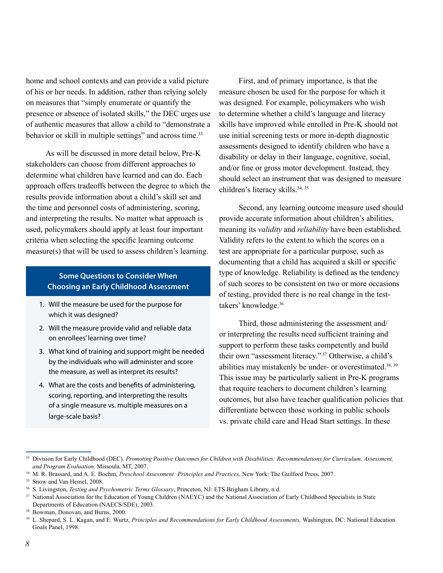home and school contexts and can provide a valid picture of his or her needs. In addition, rather than relying solely on measures that "simply enumerate or quantify the presence or absence of isolated skills," the DEC urges use of authentic measures that allow a child to "demonstrate a behavior or skill in multiple settings" and across time.<sup>33</sup>

As will be discussed in more detail below, Pre-K stakeholders can choose from different approaches to determine what children have learned and can do. Each approach offers tradeoffs between the degree to which the results provide information about a child's skill set and the time and personnel costs of administering, scoring, and interpreting the results. No matter what approach is used, policymakers should apply at least four important criteria when selecting the specific learning outcome measure(s) that will be used to assess children's learning.

## **Some Questions to Consider When Choosing an Early Childhood Assessment**

- 1. Will the measure be used for the purpose for which it was designed?
- 2. Will the measure provide valid and reliable data on enrollees' learning over time?
- 3. What kind of training and support might be needed by the individuals who will administer and score the measure, as well as interpret its results?
- 4. What are the costs and benefits of administering, scoring, reporting, and interpreting the results of a single measure vs. multiple measures on a large-scale basis?

First, and of primary importance, is that the measure chosen be used for the purpose for which it was designed. For example, policymakers who wish to determine whether a child's language and literacy skills have improved while enrolled in Pre-K should not use initial screening tests or more in-depth diagnostic assessments designed to identify children who have a disability or delay in their language, cognitive, social, and/or fine or gross motor development. Instead, they should select an instrument that was designed to measure children's literacy skills.<sup>34, 35</sup>

Second, any learning outcome measure used should provide accurate information about children's abilities, meaning its *validity* and *reliability* have been established. Validity refers to the extent to which the scores on a test are appropriate for a particular purpose, such as documenting that a child has acquired a skill or specific type of knowledge. Reliability is defined as the tendency of such scores to be consistent on two or more occasions of testing, provided there is no real change in the testtakers' knowledge.36

Third, those administering the assessment and/ or interpreting the results need sufficient training and support to perform these tasks competently and build their own "assessment literacy." <sup>37</sup> Otherwise, a child's abilities may mistakenly be under- or overestimated.<sup>38, 39</sup> This issue may be particularly salient in Pre-K programs that require teachers to document children's learning outcomes, but also have teacher qualification policies that differentiate between those working in public schools vs. private child care and Head Start settings. In these

<sup>33</sup> Division for Early Childhood (DEC). *Promoting Positive Outcomes for Children with Disabilities: Recommendations for Curriculum, Assessment, and Program Evaluation,* Missoula, MT, 2007.

<sup>34</sup> M. R. Brassard, and A. E. Boehm, *Preschool Assessment: Principles and Practices*, New York: The Guilford Press, 2007.

<sup>&</sup>lt;sup>35</sup> Snow and Van Hemel, 2008.

<sup>36</sup> S. Livingston, *Testing and Psychometric Terms Glossary*, Princeton, NJ: ETS Brigham Library, n.d.

<sup>&</sup>lt;sup>37</sup> National Association for the Education of Young Children (NAEYC) and the National Association of Early Childhood Specialists in State Departments of Education (NAECS/SDE), 2003.

<sup>38</sup> Bowman, Donovan, and Burns, 2000.

<sup>39</sup> L. Shepard, S. L. Kagan, and E. Wurtz, *Principles and Recommendations for Early Childhood Assessments,* Washington, DC: National Education Goals Panel, 1998.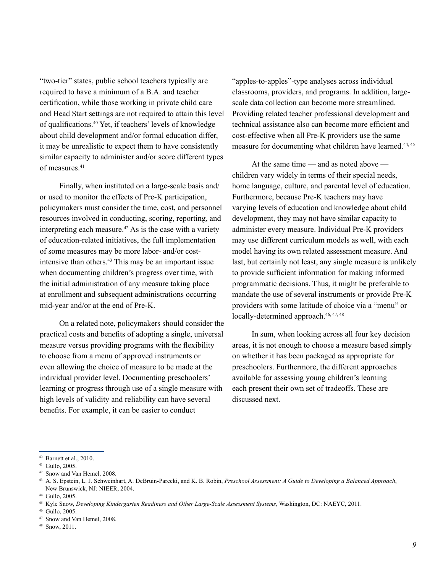"two-tier" states, public school teachers typically are required to have a minimum of a B.A. and teacher certification, while those working in private child care and Head Start settings are not required to attain this level of qualifications.40 Yet, if teachers' levels of knowledge about child development and/or formal education differ, it may be unrealistic to expect them to have consistently similar capacity to administer and/or score different types of measures<sup>41</sup>

Finally, when instituted on a large-scale basis and/ or used to monitor the effects of Pre-K participation, policymakers must consider the time, cost, and personnel resources involved in conducting, scoring, reporting, and interpreting each measure.<sup>42</sup> As is the case with a variety of education-related initiatives, the full implementation of some measures may be more labor- and/or costintensive than others.<sup>43</sup> This may be an important issue when documenting children's progress over time, with the initial administration of any measure taking place at enrollment and subsequent administrations occurring mid-year and/or at the end of Pre-K.

On a related note, policymakers should consider the practical costs and benefits of adopting a single, universal measure versus providing programs with the flexibility to choose from a menu of approved instruments or even allowing the choice of measure to be made at the individual provider level. Documenting preschoolers' learning or progress through use of a single measure with high levels of validity and reliability can have several benefits. For example, it can be easier to conduct

"apples-to-apples"-type analyses across individual classrooms, providers, and programs. In addition, largescale data collection can become more streamlined. Providing related teacher professional development and technical assistance also can become more efficient and cost-effective when all Pre-K providers use the same measure for documenting what children have learned.<sup>44, 45</sup>

At the same time — and as noted above children vary widely in terms of their special needs, home language, culture, and parental level of education. Furthermore, because Pre-K teachers may have varying levels of education and knowledge about child development, they may not have similar capacity to administer every measure. Individual Pre-K providers may use different curriculum models as well, with each model having its own related assessment measure. And last, but certainly not least, any single measure is unlikely to provide sufficient information for making informed programmatic decisions. Thus, it might be preferable to mandate the use of several instruments or provide Pre-K providers with some latitude of choice via a "menu" or locally-determined approach.<sup>46, 47, 48</sup>

In sum, when looking across all four key decision areas, it is not enough to choose a measure based simply on whether it has been packaged as appropriate for preschoolers. Furthermore, the different approaches available for assessing young children's learning each present their own set of tradeoffs. These are discussed next.

<sup>40</sup> Barnett et al., 2010.

<sup>41</sup> Gullo, 2005.

<sup>42</sup> Snow and Van Hemel, 2008.

<sup>43</sup> A. S. Epstein, L. J. Schweinhart, A. DeBruin-Parecki, and K. B. Robin, *Preschool Assessment: A Guide to Developing a Balanced Approach*, New Brunswick, NJ: NIEER, 2004.

<sup>44</sup> Gullo, 2005.

<sup>45</sup> Kyle Snow, *Developing Kindergarten Readiness and Other Large-Scale Assessment Systems*, Washington, DC: NAEYC, 2011.

<sup>46</sup> Gullo, 2005.

<sup>47</sup> Snow and Van Hemel, 2008.

<sup>48</sup> Snow, 2011.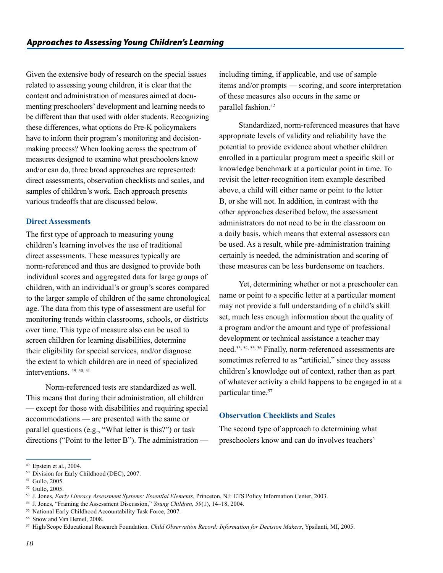Given the extensive body of research on the special issues related to assessing young children, it is clear that the content and administration of measures aimed at documenting preschoolers' development and learning needs to be different than that used with older students. Recognizing these differences, what options do Pre-K policymakers have to inform their program's monitoring and decisionmaking process? When looking across the spectrum of measures designed to examine what preschoolers know and/or can do, three broad approaches are represented: direct assessments, observation checklists and scales, and samples of children's work. Each approach presents various tradeoffs that are discussed below.

## **Direct Assessments**

The first type of approach to measuring young children's learning involves the use of traditional direct assessments. These measures typically are norm-referenced and thus are designed to provide both individual scores and aggregated data for large groups of children, with an individual's or group's scores compared to the larger sample of children of the same chronological age. The data from this type of assessment are useful for monitoring trends within classrooms, schools, or districts over time. This type of measure also can be used to screen children for learning disabilities, determine their eligibility for special services, and/or diagnose the extent to which children are in need of specialized interventions. 49, 50, <sup>51</sup>

Norm-referenced tests are standardized as well. This means that during their administration, all children — except for those with disabilities and requiring special accommodations — are presented with the same or parallel questions (e.g., "What letter is this?") or task directions ("Point to the letter B"). The administration —

including timing, if applicable, and use of sample items and/or prompts — scoring, and score interpretation of these measures also occurs in the same or parallel fashion.<sup>52</sup>

Standardized, norm-referenced measures that have appropriate levels of validity and reliability have the potential to provide evidence about whether children enrolled in a particular program meet a specific skill or knowledge benchmark at a particular point in time. To revisit the letter-recognition item example described above, a child will either name or point to the letter B, or she will not. In addition, in contrast with the other approaches described below, the assessment administrators do not need to be in the classroom on a daily basis, which means that external assessors can be used. As a result, while pre-administration training certainly is needed, the administration and scoring of these measures can be less burdensome on teachers.

Yet, determining whether or not a preschooler can name or point to a specific letter at a particular moment may not provide a full understanding of a child's skill set, much less enough information about the quality of a program and/or the amount and type of professional development or technical assistance a teacher may need.53, 54, 55, <sup>56</sup> Finally, norm-referenced assessments are sometimes referred to as "artificial," since they assess children's knowledge out of context, rather than as part of whatever activity a child happens to be engaged in at a particular time.<sup>57</sup>

## **Observation Checklists and Scales**

The second type of approach to determining what preschoolers know and can do involves teachers'

<sup>49</sup> Epstein et al., 2004.

<sup>50</sup> Division for Early Childhood (DEC), 2007.

<sup>51</sup> Gullo, 2005.

<sup>52</sup> Gullo, 2005.

<sup>53</sup> J. Jones, *Early Literacy Assessment Systems: Essential Elements*, Princeton, NJ: ETS Policy Information Center, 2003.

<sup>54</sup> J. Jones, "Framing the Assessment Discussion," *Young Children, 59*(1), 14–18, 2004.

<sup>55</sup> National Early Childhood Accountability Task Force, 2007.

<sup>56</sup> Snow and Van Hemel, 2008.

<sup>57</sup> High/Scope Educational Research Foundation. *Child Observation Record: Information for Decision Makers*, Ypsilanti, MI, 2005.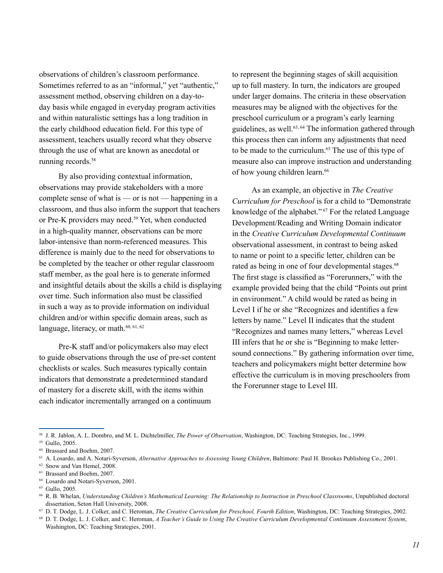observations of children's classroom performance. Sometimes referred to as an "informal," yet "authentic," assessment method, observing children on a day-today basis while engaged in everyday program activities and within naturalistic settings has a long tradition in the early childhood education field. For this type of assessment, teachers usually record what they observe through the use of what are known as anecdotal or running records.<sup>58</sup>

By also providing contextual information, observations may provide stakeholders with a more complete sense of what is — or is not — happening in a classroom, and thus also inform the support that teachers or Pre-K providers may need.<sup>59</sup> Yet, when conducted in a high-quality manner, observations can be more labor-intensive than norm-referenced measures. This difference is mainly due to the need for observations to be completed by the teacher or other regular classroom staff member, as the goal here is to generate informed and insightful details about the skills a child is displaying over time. Such information also must be classified in such a way as to provide information on individual children and/or within specific domain areas, such as language, literacy, or math.<sup>60, 61, 62</sup>

Pre-K staff and/or policymakers also may elect to guide observations through the use of pre-set content checklists or scales. Such measures typically contain indicators that demonstrate a predetermined standard of mastery for a discrete skill, with the items within each indicator incrementally arranged on a continuum

to represent the beginning stages of skill acquisition up to full mastery. In turn, the indicators are grouped under larger domains. The criteria in these observation measures may be aligned with the objectives for the preschool curriculum or a program's early learning guidelines, as well.63, <sup>64</sup> The information gathered through this process then can inform any adjustments that need to be made to the curriculum.<sup>65</sup> The use of this type of measure also can improve instruction and understanding of how young children learn.<sup>66</sup>

As an example, an objective in *The Creative Curriculum for Preschool* is for a child to "Demonstrate knowledge of the alphabet." <sup>67</sup> For the related Language Development/Reading and Writing Domain indicator in the *Creative Curriculum Developmental Continuum*  observational assessment, in contrast to being asked to name or point to a specific letter, children can be rated as being in one of four developmental stages.<sup>68</sup> The first stage is classified as "Forerunners," with the example provided being that the child "Points out print in environment." A child would be rated as being in Level I if he or she "Recognizes and identifies a few letters by name." Level II indicates that the student "Recognizes and names many letters," whereas Level III infers that he or she is "Beginning to make lettersound connections." By gathering information over time, teachers and policymakers might better determine how effective the curriculum is in moving preschoolers from the Forerunner stage to Level III.

<sup>58</sup> J. R. Jablon, A. L. Dombro, and M. L. Dichtelmiller, *The Power of Observation*, Washington, DC: Teaching Strategies, Inc., 1999.

<sup>59</sup> Gullo, 2005.

<sup>60</sup> Brassard and Boehm, 2007.

<sup>61</sup> A. Losardo, and A. Notari-Syverson, *Alternative Approaches to Assessing Young Children*, Baltimore: Paul H. Brookes Publishing Co., 2001.

<sup>62</sup> Snow and Van Hemel, 2008.

<sup>63</sup> Brassard and Boehm, 2007.

<sup>64</sup> Losardo and Notari-Syverson, 2001.

<sup>65</sup> Gullo, 2005.

<sup>66</sup> R. B. Whelan, *Understanding Children's Mathematical Learning: The Relationship to Instruction in Preschool Classrooms*, Unpublished doctoral dissertation, Seton Hall University, 2008.

<sup>67</sup> D. T. Dodge, L. J. Colker, and C. Heroman, *The Creative Curriculum for Preschool, Fourth Edition*, Washington, DC: Teaching Strategies, 2002.

<sup>68</sup> D. T. Dodge, L. J. Colker, and C. Heroman, *A Teacher's Guide to Using The Creative Curriculum Developmental Continuum Assessment System*, Washington, DC: Teaching Strategies, 2001.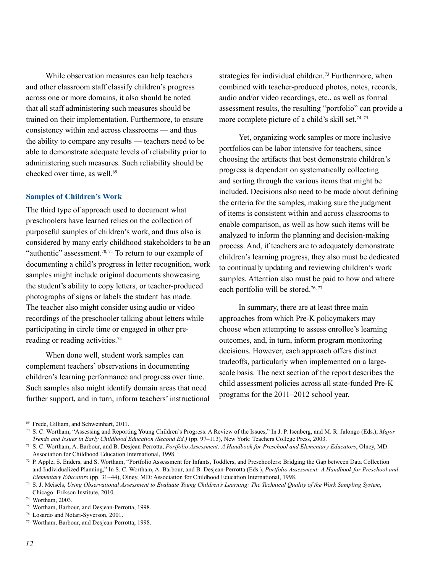While observation measures can help teachers and other classroom staff classify children's progress across one or more domains, it also should be noted that all staff administering such measures should be trained on their implementation. Furthermore, to ensure consistency within and across classrooms — and thus the ability to compare any results — teachers need to be able to demonstrate adequate levels of reliability prior to administering such measures. Such reliability should be checked over time, as well.<sup>69</sup>

#### **Samples of Children's Work**

The third type of approach used to document what preschoolers have learned relies on the collection of purposeful samples of children's work, and thus also is considered by many early childhood stakeholders to be an "authentic" assessment.<sup>70, 71</sup> To return to our example of documenting a child's progress in letter recognition, work samples might include original documents showcasing the student's ability to copy letters, or teacher-produced photographs of signs or labels the student has made. The teacher also might consider using audio or video recordings of the preschooler talking about letters while participating in circle time or engaged in other prereading or reading activities.<sup>72</sup>

When done well, student work samples can complement teachers' observations in documenting children's learning performance and progress over time. Such samples also might identify domain areas that need further support, and in turn, inform teachers' instructional strategies for individual children.<sup>73</sup> Furthermore, when combined with teacher-produced photos, notes, records, audio and/or video recordings, etc., as well as formal assessment results, the resulting "portfolio" can provide a more complete picture of a child's skill set.<sup>74, 75</sup>

Yet, organizing work samples or more inclusive portfolios can be labor intensive for teachers, since choosing the artifacts that best demonstrate children's progress is dependent on systematically collecting and sorting through the various items that might be included. Decisions also need to be made about defining the criteria for the samples, making sure the judgment of items is consistent within and across classrooms to enable comparison, as well as how such items will be analyzed to inform the planning and decision-making process. And, if teachers are to adequately demonstrate children's learning progress, they also must be dedicated to continually updating and reviewing children's work samples. Attention also must be paid to how and where each portfolio will be stored.<sup>76, 77</sup>

In summary, there are at least three main approaches from which Pre-K policymakers may choose when attempting to assess enrollee's learning outcomes, and, in turn, inform program monitoring decisions. However, each approach offers distinct tradeoffs, particularly when implemented on a largescale basis. The next section of the report describes the child assessment policies across all state-funded Pre-K programs for the 2011–2012 school year.

<sup>69</sup> Frede, Gilliam, and Schweinhart, 2011.

<sup>70</sup> S. C. Wortham, "Assessing and Reporting Young Children's Progress: A Review of the Issues," In J. P. Isenberg, and M. R. Jalongo (Eds.), *Major Trends and Issues in Early Childhood Education (Second Ed.)* (pp. 97–113), New York: Teachers College Press, 2003.

<sup>71</sup> S. C. Wortham, A. Barbour, and B. Desjean-Perrotta, *Portfolio Assessment: A Handbook for Preschool and Elementary Educators*, Olney, MD: Association for Childhood Education International, 1998.

<sup>72</sup> P. Apple, S. Enders, and S. Wortham, "Portfolio Assessment for Infants, Toddlers, and Preschoolers: Bridging the Gap between Data Collection and Individualized Planning," In S. C. Wortham, A. Barbour, and B. Desjean-Perrotta (Eds.), *Portfolio Assessment: A Handbook for Preschool and Elementary Educators* (pp. 31–44), Olney, MD: Association for Childhood Education International, 1998.

<sup>73</sup> S. J. Meisels, *Using Observational Assessment to Evaluate Young Children's Learning: The Technical Quality of the Work Sampling System*, Chicago: Erikson Institute, 2010.

<sup>74</sup> Wortham, 2003.

<sup>75</sup> Wortham, Barbour, and Desjean-Perrotta, 1998.

<sup>76</sup> Losardo and Notari-Syverson, 2001.

<sup>77</sup> Wortham, Barbour, and Desjean-Perrotta, 1998.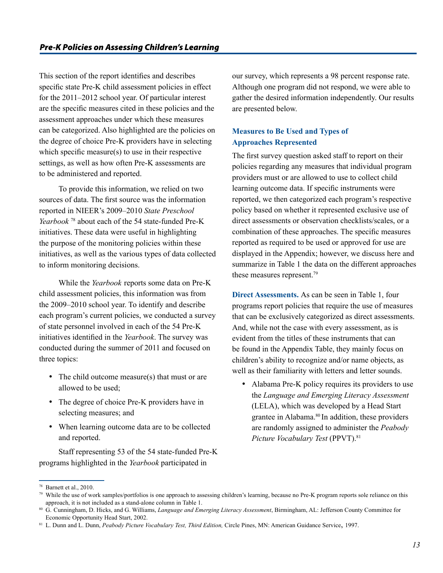This section of the report identifies and describes specific state Pre-K child assessment policies in effect for the 2011–2012 school year. Of particular interest are the specific measures cited in these policies and the assessment approaches under which these measures can be categorized. Also highlighted are the policies on the degree of choice Pre-K providers have in selecting which specific measure(s) to use in their respective settings, as well as how often Pre-K assessments are to be administered and reported.

To provide this information, we relied on two sources of data. The first source was the information reported in NIEER's 2009–2010 *State Preschool Yearbook* <sup>78</sup> about each of the 54 state-funded Pre-K initiatives. These data were useful in highlighting the purpose of the monitoring policies within these initiatives, as well as the various types of data collected to inform monitoring decisions.

While the *Yearbook* reports some data on Pre-K child assessment policies, this information was from the 2009–2010 school year. To identify and describe each program's current policies, we conducted a survey of state personnel involved in each of the 54 Pre-K initiatives identified in the *Yearbook*. The survey was conducted during the summer of 2011 and focused on three topics:

- The child outcome measure(s) that must or are allowed to be used;
- The degree of choice Pre-K providers have in selecting measures; and
- When learning outcome data are to be collected and reported.

Staff representing 53 of the 54 state-funded Pre-K programs highlighted in the *Yearbook* participated in

our survey, which represents a 98 percent response rate. Although one program did not respond, we were able to gather the desired information independently. Our results are presented below.

## **Measures to Be Used and Types of Approaches Represented**

The first survey question asked staff to report on their policies regarding any measures that individual program providers must or are allowed to use to collect child learning outcome data. If specific instruments were reported, we then categorized each program's respective policy based on whether it represented exclusive use of direct assessments or observation checklists/scales, or a combination of these approaches. The specific measures reported as required to be used or approved for use are displayed in the Appendix; however, we discuss here and summarize in Table 1 the data on the different approaches these measures represent.<sup>79</sup>

**Direct Assessments.** As can be seen in Table 1, four programs report policies that require the use of measures that can be exclusively categorized as direct assessments. And, while not the case with every assessment, as is evident from the titles of these instruments that can be found in the Appendix Table, they mainly focus on children's ability to recognize and/or name objects, as well as their familiarity with letters and letter sounds.

• Alabama Pre-K policy requires its providers to use the *Language and Emerging Literacy Assessment* (LELA), which was developed by a Head Start grantee in Alabama.<sup>80</sup> In addition, these providers are randomly assigned to administer the *Peabody Picture Vocabulary Test* (PPVT).<sup>81</sup>

<sup>78</sup> Barnett et al., 2010.

 $79$  While the use of work samples/portfolios is one approach to assessing children's learning, because no Pre-K program reports sole reliance on this approach, it is not included as a stand-alone column in Table 1.

<sup>80</sup> G. Cunningham, D. Hicks, and G. Williams, *Language and Emerging Literacy Assessment*, Birmingham, AL: Jefferson County Committee for Economic Opportunity Head Start, 2002.

<sup>81</sup> L. Dunn and L. Dunn, *Peabody Picture Vocabulary Test, Third Edition,* Circle Pines, MN: American Guidance Service, 1997.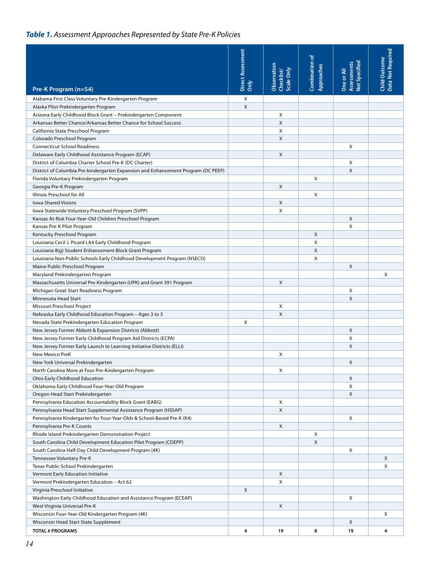# *Table 1. Assessment Approaches Represented by State Pre-K Policies*

|                                                                                                                                          | Direct Assessment | Observation<br>Scale Only<br>Checklist/ | Combination of<br>Approaches | Not Specified<br>Assessments<br>One or All | Data Not Required<br><b>Child Outcome</b> |
|------------------------------------------------------------------------------------------------------------------------------------------|-------------------|-----------------------------------------|------------------------------|--------------------------------------------|-------------------------------------------|
| Pre-K Program (n=54)                                                                                                                     | ðmly              |                                         |                              |                                            |                                           |
| Alabama First Class Voluntary Pre-Kindergarten Program                                                                                   | Χ                 |                                         |                              |                                            |                                           |
| Alaska Pilot Prekindergarten Program                                                                                                     | $\pmb{\times}$    |                                         |                              |                                            |                                           |
| Arizona Early Childhood Block Grant - Prekindergarten Component                                                                          |                   | Χ                                       |                              |                                            |                                           |
| Arkansas Better Chance/Arkansas Better Chance for School Success                                                                         |                   | X                                       |                              |                                            |                                           |
| California State Preschool Program                                                                                                       |                   | Χ                                       |                              |                                            |                                           |
| Colorado Preschool Program                                                                                                               |                   | X                                       |                              |                                            |                                           |
| <b>Connecticut School Readiness</b>                                                                                                      |                   |                                         |                              | X                                          |                                           |
| Delaware Early Childhood Assistance Program (ECAP)                                                                                       |                   | X                                       |                              |                                            |                                           |
| District of Columbia Charter School Pre-K (DC Charter)                                                                                   |                   |                                         |                              | X                                          |                                           |
| District of Columbia Pre-kindergarten Expansion and Enhancement Program (DC PEEP)                                                        |                   |                                         |                              | X                                          |                                           |
| Florida Voluntary Prekindergarten Program                                                                                                |                   |                                         | X                            |                                            |                                           |
| Georgia Pre-K Program                                                                                                                    |                   | X                                       |                              |                                            |                                           |
| Illinois Preschool for All                                                                                                               |                   |                                         | X                            |                                            |                                           |
| <b>Iowa Shared Visions</b>                                                                                                               |                   | X                                       |                              |                                            |                                           |
| Iowa Statewide Voluntary Preschool Program (SVPP)                                                                                        |                   | X                                       |                              |                                            |                                           |
| Kansas At-Risk Four-Year-Old Children Preschool Program                                                                                  |                   |                                         |                              | X                                          |                                           |
| Kansas Pre-K Pilot Program                                                                                                               |                   |                                         |                              | X                                          |                                           |
| Kentucky Preschool Program                                                                                                               |                   |                                         | X                            |                                            |                                           |
| Louisiana Cecil J. Picard LA4 Early Childhood Program                                                                                    |                   |                                         | X                            |                                            |                                           |
| Louisiana 8(g) Student Enhancement Block Grant Program                                                                                   |                   |                                         | X                            |                                            |                                           |
| Louisiana Non-Public Schools Early Childhood Development Program (NSECD)                                                                 |                   |                                         | Χ                            |                                            |                                           |
|                                                                                                                                          |                   |                                         |                              | X                                          |                                           |
| Maine Public Preschool Program                                                                                                           |                   |                                         |                              |                                            | X                                         |
| Maryland Prekindergarten Program                                                                                                         |                   | X                                       |                              |                                            |                                           |
| Massachusetts Universal Pre-Kindergarten (UPK) and Grant 391 Program                                                                     |                   |                                         |                              | X                                          |                                           |
| Michigan Great Start Readiness Program<br>Minnesota Head Start                                                                           |                   |                                         |                              | X                                          |                                           |
| Missouri Preschool Project                                                                                                               |                   | X                                       |                              |                                            |                                           |
|                                                                                                                                          |                   | X                                       |                              |                                            |                                           |
| Nebraska Early Childhood Education Program - Ages 3 to 5                                                                                 | X                 |                                         |                              |                                            |                                           |
| Nevada State Prekindergarten Education Program                                                                                           |                   |                                         |                              | X                                          |                                           |
| New Jersey Former Abbott & Expansion Districts (Abbott)                                                                                  |                   |                                         |                              | X                                          |                                           |
| New Jersey Former Early Childhood Program Aid Districts (ECPA)<br>New Jersey Former Early Launch to Learning Initiative Districts (ELLI) |                   |                                         |                              | X                                          |                                           |
| <b>New Mexico PreK</b>                                                                                                                   |                   |                                         |                              |                                            |                                           |
|                                                                                                                                          |                   | Χ                                       |                              | X                                          |                                           |
| New York Universal Prekindergarten                                                                                                       |                   |                                         |                              |                                            |                                           |
| North Carolina More at Four Pre-Kindergarten Program                                                                                     |                   | х                                       |                              |                                            |                                           |
| Ohio Early Childhood Education                                                                                                           |                   |                                         |                              | X                                          |                                           |
| Oklahoma Early Childhood Four-Year-Old Program                                                                                           |                   |                                         |                              | X                                          |                                           |
| Oregon Head Start Prekindergarten                                                                                                        |                   |                                         |                              | Χ                                          |                                           |
| Pennsylvania Education Accountability Block Grant (EABG)                                                                                 |                   | х                                       |                              |                                            |                                           |
| Pennsylvania Head Start Supplemental Assistance Program (HSSAP)                                                                          |                   | Χ                                       |                              |                                            |                                           |
| Pennsylvania Kindergarten for Four-Year-Olds & School-Based Pre-K (K4)                                                                   |                   |                                         |                              | X                                          |                                           |
| Pennsylvania Pre-K Counts                                                                                                                |                   | X                                       |                              |                                            |                                           |
| Rhode Island Prekindergarten Demonstration Project                                                                                       |                   |                                         | X                            |                                            |                                           |
| South Carolina Child Development Education Pilot Program (CDEPP)                                                                         |                   |                                         | X                            |                                            |                                           |
| South Carolina Half-Day Child Development Program (4K)                                                                                   |                   |                                         |                              | X                                          |                                           |
| Tennessee Voluntary Pre-K                                                                                                                |                   |                                         |                              |                                            | X                                         |
| Texas Public School Prekindergarten                                                                                                      |                   |                                         |                              |                                            | Χ                                         |
| Vermont Early Education Initiative                                                                                                       |                   | X                                       |                              |                                            |                                           |
| Vermont Prekindergarten Education - Act 62                                                                                               |                   | X                                       |                              |                                            |                                           |
| Virginia Preschool Initiative                                                                                                            | X                 |                                         |                              |                                            |                                           |
| Washington Early Childhood Education and Assistance Program (ECEAP)                                                                      |                   |                                         |                              | X                                          |                                           |
| West Virginia Universal Pre-K                                                                                                            |                   | X                                       |                              |                                            |                                           |
| Wisconsin Four-Year-Old Kindergarten Program (4K)                                                                                        |                   |                                         |                              |                                            | Χ                                         |
| Wisconsin Head Start State Supplement                                                                                                    |                   |                                         |                              | X                                          |                                           |
| <b>TOTAL # PROGRAMS</b>                                                                                                                  | 4                 | 19                                      | 8                            | 19                                         | 4                                         |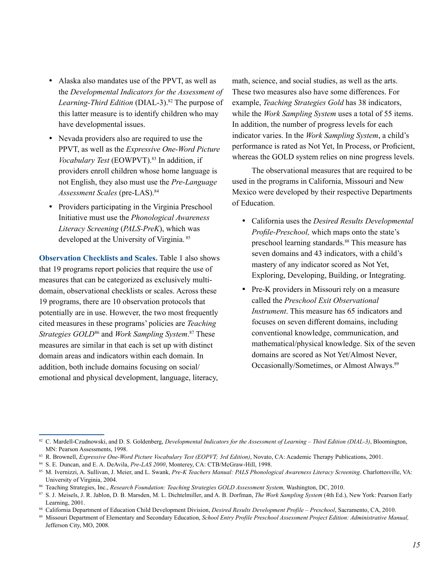- • Alaska also mandates use of the PPVT, as well as the *Developmental Indicators for the Assessment of*  Learning-Third Edition (DIAL-3).<sup>82</sup> The purpose of this latter measure is to identify children who may have developmental issues.
- Nevada providers also are required to use the PPVT, as well as the *Expressive One-Word Picture Vocabulary Test* (EOWPVT).83 In addition, if providers enroll children whose home language is not English, they also must use the *Pre-Language*  Assessment Scales (pre-LAS).<sup>84</sup>
- Providers participating in the Virginia Preschool Initiative must use the *Phonological Awareness Literacy Screening* (*PALS-PreK*), which was developed at the University of Virginia. <sup>85</sup>

**Observation Checklists and Scales.** Table 1 also shows that 19 programs report policies that require the use of measures that can be categorized as exclusively multidomain, observational checklists or scales. Across these 19 programs, there are 10 observation protocols that potentially are in use. However, the two most frequently cited measures in these programs' policies are *Teaching Strategies GOLD*<sup>86</sup> and *Work Sampling System*. <sup>87</sup> These measures are similar in that each is set up with distinct domain areas and indicators within each domain. In addition, both include domains focusing on social/ emotional and physical development, language, literacy,

math, science, and social studies, as well as the arts. These two measures also have some differences. For example, *Teaching Strategies Gold* has 38 indicators, while the *Work Sampling System* uses a total of 55 items. In addition, the number of progress levels for each indicator varies. In the *Work Sampling System*, a child's performance is rated as Not Yet, In Process, or Proficient, whereas the GOLD system relies on nine progress levels.

The observational measures that are required to be used in the programs in California, Missouri and New Mexico were developed by their respective Departments of Education.

- • California uses the *Desired Results Developmental Profile-Preschool,* which maps onto the state's preschool learning standards.88 This measure has seven domains and 43 indicators, with a child's mastery of any indicator scored as Not Yet, Exploring, Developing, Building, or Integrating.
- Pre-K providers in Missouri rely on a measure called the *Preschool Exit Observational Instrument*. This measure has 65 indicators and focuses on seven different domains, including conventional knowledge, communication, and mathematical/physical knowledge. Six of the seven domains are scored as Not Yet/Almost Never, Occasionally/Sometimes, or Almost Always.<sup>89</sup>

<sup>82</sup> C. Mardell-Czudnowski, and D. S. Goldenberg, *Developmental Indicators for the Assessment of Learning – Third Edition (DIAL-3)*, Bloomington, MN: Pearson Assessments, 1998.

<sup>83</sup> R. Brownell, *Expressive One-Word Picture Vocabulary Test (EOPVT; 3rd Edition)*, Novato, CA: Academic Therapy Publications, 2001.

<sup>84</sup> S. E. Duncan, and E. A. DeAvila, *Pre-LAS 2000*, Monterey, CA: CTB/McGraw-Hill, 1998.

<sup>85</sup> M. Ivernizzi, A. Sullivan, J. Meier, and L. Swank, *Pre-K Teachers Manual: PALS Phonological Awareness Literacy Screening*. Charlottesville, VA: University of Virginia, 2004.

<sup>86</sup> Teaching Strategies, Inc., *Research Foundation: Teaching Strategies GOLD Assessment System,* Washington, DC, 2010.

<sup>87</sup> S. J. Meisels, J. R. Jablon, D. B. Marsden, M. L. Dichtelmiller, and A. B. Dorfman, *The Work Sampling System* (4th Ed.), New York: Pearson Early Learning, 2001.

<sup>88</sup> California Department of Education Child Development Division, *Desired Results Development Profile – Preschool*, Sacramento, CA, 2010.

<sup>89</sup> Missouri Department of Elementary and Secondary Education, *School Entry Profile Preschool Assessment Project Edition: Administrative Manual,*  Jefferson City, MO, 2008.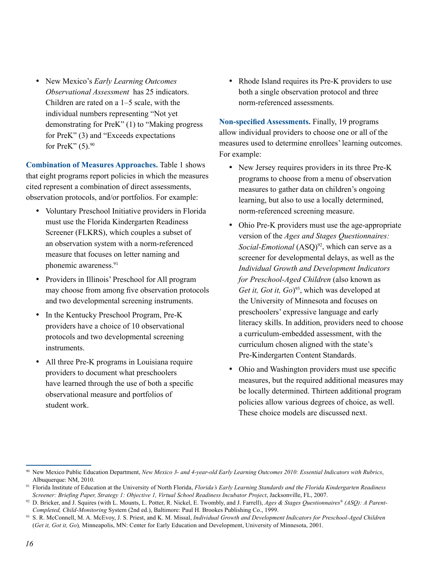• New Mexico's *Early Learning Outcomes Observational Assessment* has 25 indicators. Children are rated on a 1–5 scale, with the individual numbers representing "Not yet demonstrating for PreK" (1) to "Making progress for PreK" (3) and "Exceeds expectations for PreK"  $(5)$ .<sup>90</sup>

**Combination of Measures Approaches.** Table 1 shows that eight programs report policies in which the measures cited represent a combination of direct assessments, observation protocols, and/or portfolios. For example:

- Voluntary Preschool Initiative providers in Florida must use the Florida Kindergarten Readiness Screener (FLKRS), which couples a subset of an observation system with a norm-referenced measure that focuses on letter naming and phonemic awareness.91
- Providers in Illinois' Preschool for All program may choose from among five observation protocols and two developmental screening instruments.
- In the Kentucky Preschool Program, Pre-K providers have a choice of 10 observational protocols and two developmental screening instruments.
- All three Pre-K programs in Louisiana require providers to document what preschoolers have learned through the use of both a specific observational measure and portfolios of student work.

• Rhode Island requires its Pre-K providers to use both a single observation protocol and three norm-referenced assessments.

**Non-specified Assessments.** Finally, 19 programs allow individual providers to choose one or all of the measures used to determine enrollees' learning outcomes. For example:

- New Jersey requires providers in its three Pre-K programs to choose from a menu of observation measures to gather data on children's ongoing learning, but also to use a locally determined, norm-referenced screening measure.
- Ohio Pre-K providers must use the age-appropriate version of the *Ages and Stages Questionnaires: Social-Emotional* (ASQ)<sup>92</sup>, which can serve as a screener for developmental delays, as well as the *Individual Growth and Development Indicators for Preschool-Aged Children* (also known as *Get it, Got it, Go*) 93, which was developed at the University of Minnesota and focuses on preschoolers' expressive language and early literacy skills. In addition, providers need to choose a curriculum-embedded assessment, with the curriculum chosen aligned with the state's Pre-Kindergarten Content Standards.
- Ohio and Washington providers must use specific measures, but the required additional measures may be locally determined. Thirteen additional program policies allow various degrees of choice, as well. These choice models are discussed next.

<sup>90</sup> New Mexico Public Education Department, *New Mexico 3- and 4-year-old Early Learning Outcomes 2010: Essential Indicators with Rubrics*, Albuquerque: NM, 2010.

<sup>91</sup> Florida Institute of Education at the University of North Florida, *Florida's Early Learning Standards and the Florida Kindergarten Readiness Screener: Briefing Paper, Strategy 1: Objective 1, Virtual School Readiness Incubator Project*, Jacksonville, FL, 2007.

<sup>92</sup> D. Bricker, and J. Squires (with L. Mounts, L. Potter, R. Nickel, E. Twombly, and J. Farrell), *Ages & Stages Questionnaires® (ASQ): A Parent-Completed, Child-Monitoring* System (2nd ed.), Baltimore: Paul H. Brookes Publishing Co., 1999.

<sup>93</sup> S. R. McConnell, M. A. McEvoy, J. S. Priest, and K. M. Missal, *Individual Growth and Development Indicators for Preschool-Aged Children* (*Get it, Got it, Go*)*,* Minneapolis, MN: Center for Early Education and Development, University of Minnesota, 2001.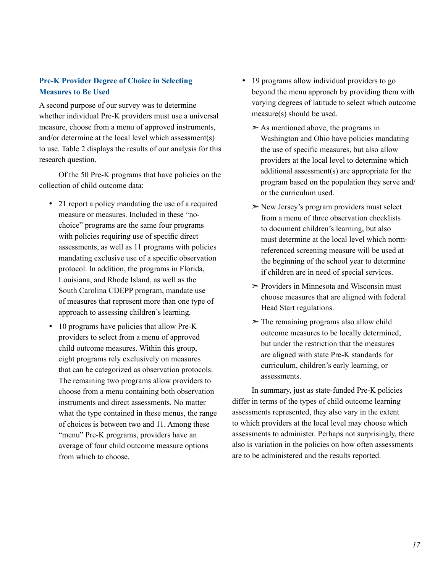## **Pre-K Provider Degree of Choice in Selecting Measures to Be Used**

A second purpose of our survey was to determine whether individual Pre-K providers must use a universal measure, choose from a menu of approved instruments, and/or determine at the local level which assessment(s) to use. Table 2 displays the results of our analysis for this research question.

Of the 50 Pre-K programs that have policies on the collection of child outcome data:

- 21 report a policy mandating the use of a required measure or measures. Included in these "nochoice" programs are the same four programs with policies requiring use of specific direct assessments, as well as 11 programs with policies mandating exclusive use of a specific observation protocol. In addition, the programs in Florida, Louisiana, and Rhode Island, as well as the South Carolina CDEPP program, mandate use of measures that represent more than one type of approach to assessing children's learning.
- 10 programs have policies that allow Pre-K providers to select from a menu of approved child outcome measures. Within this group, eight programs rely exclusively on measures that can be categorized as observation protocols. The remaining two programs allow providers to choose from a menu containing both observation instruments and direct assessments. No matter what the type contained in these menus, the range of choices is between two and 11. Among these "menu" Pre-K programs, providers have an average of four child outcome measure options from which to choose.
- 19 programs allow individual providers to go beyond the menu approach by providing them with varying degrees of latitude to select which outcome measure(s) should be used.
	- $>$  As mentioned above, the programs in Washington and Ohio have policies mandating the use of specific measures, but also allow providers at the local level to determine which additional assessment(s) are appropriate for the program based on the population they serve and/ or the curriculum used.
	- ➣ New Jersey's program providers must select from a menu of three observation checklists to document children's learning, but also must determine at the local level which normreferenced screening measure will be used at the beginning of the school year to determine if children are in need of special services.
	- ➣ Providers in Minnesota and Wisconsin must choose measures that are aligned with federal Head Start regulations.
	- $\geq$  The remaining programs also allow child outcome measures to be locally determined, but under the restriction that the measures are aligned with state Pre-K standards for curriculum, children's early learning, or assessments.

In summary, just as state-funded Pre-K policies differ in terms of the types of child outcome learning assessments represented, they also vary in the extent to which providers at the local level may choose which assessments to administer. Perhaps not surprisingly, there also is variation in the policies on how often assessments are to be administered and the results reported.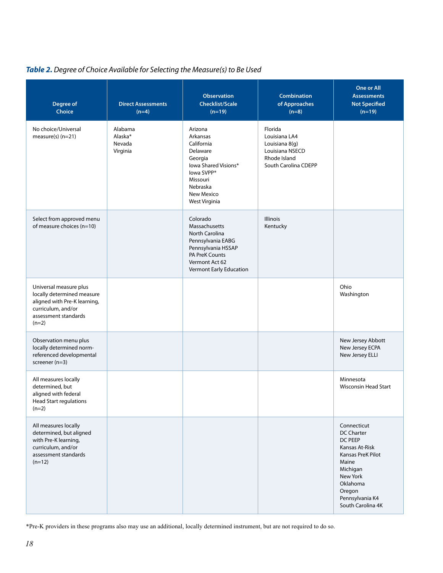# *Table 2. Degree of Choice Available for Selecting the Measure(s) to Be Used*

| <b>Degree of</b><br><b>Choice</b>                                                                                                             | <b>Direct Assessments</b><br>$(n=4)$     | <b>Observation</b><br><b>Checklist/Scale</b><br>$(n=19)$                                                                                                     | <b>Combination</b><br>of Approaches<br>$(n=8)$                                                        | One or All<br><b>Assessments</b><br><b>Not Specified</b><br>$(n=19)$                                                                                                       |
|-----------------------------------------------------------------------------------------------------------------------------------------------|------------------------------------------|--------------------------------------------------------------------------------------------------------------------------------------------------------------|-------------------------------------------------------------------------------------------------------|----------------------------------------------------------------------------------------------------------------------------------------------------------------------------|
| No choice/Universal<br>$measure(s)$ (n=21)                                                                                                    | Alabama<br>Alaska*<br>Nevada<br>Virginia | Arizona<br>Arkansas<br>California<br>Delaware<br>Georgia<br>lowa Shared Visions*<br>lowa SVPP*<br>Missouri<br>Nebraska<br>New Mexico<br>West Virginia        | Florida<br>Louisiana LA4<br>Louisiana 8(q)<br>Louisiana NSECD<br>Rhode Island<br>South Carolina CDEPP |                                                                                                                                                                            |
| Select from approved menu<br>of measure choices (n=10)                                                                                        |                                          | Colorado<br>Massachusetts<br><b>North Carolina</b><br>Pennsylvania EABG<br>Pennsylvania HSSAP<br>PA PreK Counts<br>Vermont Act 62<br>Vermont Early Education | Illinois<br>Kentucky                                                                                  |                                                                                                                                                                            |
| Universal measure plus<br>locally determined measure<br>aligned with Pre-K learning,<br>curriculum, and/or<br>assessment standards<br>$(n=2)$ |                                          |                                                                                                                                                              |                                                                                                       | Ohio<br>Washington                                                                                                                                                         |
| Observation menu plus<br>locally determined norm-<br>referenced developmental<br>screener (n=3)                                               |                                          |                                                                                                                                                              |                                                                                                       | New Jersey Abbott<br>New Jersey ECPA<br>New Jersey ELLI                                                                                                                    |
| All measures locally<br>determined, but<br>aligned with federal<br>Head Start regulations<br>$(n=2)$                                          |                                          |                                                                                                                                                              |                                                                                                       | Minnesota<br><b>Wisconsin Head Start</b>                                                                                                                                   |
| All measures locally<br>determined, but aligned<br>with Pre-K learning,<br>curriculum, and/or<br>assessment standards<br>$(n=12)$             |                                          |                                                                                                                                                              |                                                                                                       | Connecticut<br>DC Charter<br>DC PEEP<br>Kansas At-Risk<br>Kansas PreK Pilot<br>Maine<br>Michigan<br>New York<br>Oklahoma<br>Oregon<br>Pennsylvania K4<br>South Carolina 4K |

\*Pre-K providers in these programs also may use an additional, locally determined instrument, but are not required to do so.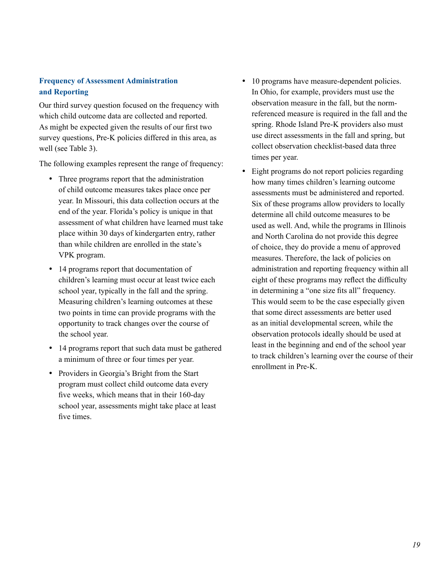## **Frequency of Assessment Administration and Reporting**

Our third survey question focused on the frequency with which child outcome data are collected and reported. As might be expected given the results of our first two survey questions, Pre-K policies differed in this area, as well (see Table 3).

The following examples represent the range of frequency:

- Three programs report that the administration of child outcome measures takes place once per year. In Missouri, this data collection occurs at the end of the year. Florida's policy is unique in that assessment of what children have learned must take place within 30 days of kindergarten entry, rather than while children are enrolled in the state's VPK program.
- 14 programs report that documentation of children's learning must occur at least twice each school year, typically in the fall and the spring. Measuring children's learning outcomes at these two points in time can provide programs with the opportunity to track changes over the course of the school year.
- 14 programs report that such data must be gathered a minimum of three or four times per year.
- Providers in Georgia's Bright from the Start program must collect child outcome data every five weeks, which means that in their 160-day school year, assessments might take place at least five times.
- 10 programs have measure-dependent policies. In Ohio, for example, providers must use the observation measure in the fall, but the normreferenced measure is required in the fall and the spring. Rhode Island Pre-K providers also must use direct assessments in the fall and spring, but collect observation checklist-based data three times per year.
- Eight programs do not report policies regarding how many times children's learning outcome assessments must be administered and reported. Six of these programs allow providers to locally determine all child outcome measures to be used as well. And, while the programs in Illinois and North Carolina do not provide this degree of choice, they do provide a menu of approved measures. Therefore, the lack of policies on administration and reporting frequency within all eight of these programs may reflect the difficulty in determining a "one size fits all" frequency. This would seem to be the case especially given that some direct assessments are better used as an initial developmental screen, while the observation protocols ideally should be used at least in the beginning and end of the school year to track children's learning over the course of their enrollment in Pre-K.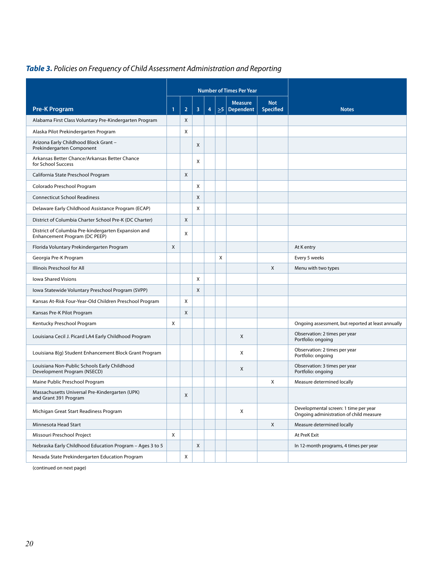# *Table 3. Policies on Frequency of Child Assessment Administration and Reporting*

|                                                                                      |   |                |   |   |          | <b>Number of Times Per Year</b> |                                |                                                                                  |
|--------------------------------------------------------------------------------------|---|----------------|---|---|----------|---------------------------------|--------------------------------|----------------------------------------------------------------------------------|
| <b>Pre-K Program</b>                                                                 | 1 | $\overline{2}$ | 3 | 4 | $\geq 5$ | <b>Measure</b><br>Dependent     | <b>Not</b><br><b>Specified</b> | <b>Notes</b>                                                                     |
| Alabama First Class Voluntary Pre-Kindergarten Program                               |   | X              |   |   |          |                                 |                                |                                                                                  |
| Alaska Pilot Prekindergarten Program                                                 |   | X              |   |   |          |                                 |                                |                                                                                  |
| Arizona Early Childhood Block Grant -<br>Prekindergarten Component                   |   |                | X |   |          |                                 |                                |                                                                                  |
| Arkansas Better Chance/Arkansas Better Chance<br>for School Success                  |   |                | X |   |          |                                 |                                |                                                                                  |
| California State Preschool Program                                                   |   | X              |   |   |          |                                 |                                |                                                                                  |
| Colorado Preschool Program                                                           |   |                | X |   |          |                                 |                                |                                                                                  |
| <b>Connecticut School Readiness</b>                                                  |   |                | X |   |          |                                 |                                |                                                                                  |
| Delaware Early Childhood Assistance Program (ECAP)                                   |   |                | X |   |          |                                 |                                |                                                                                  |
| District of Columbia Charter School Pre-K (DC Charter)                               |   | X              |   |   |          |                                 |                                |                                                                                  |
| District of Columbia Pre-kindergarten Expansion and<br>Enhancement Program (DC PEEP) |   | X              |   |   |          |                                 |                                |                                                                                  |
| Florida Voluntary Prekindergarten Program                                            | X |                |   |   |          |                                 |                                | At K entry                                                                       |
| Georgia Pre-K Program                                                                |   |                |   |   | X        |                                 |                                | Every 5 weeks                                                                    |
| Illinois Preschool for All                                                           |   |                |   |   |          |                                 | X                              | Menu with two types                                                              |
| <b>Iowa Shared Visions</b>                                                           |   |                | X |   |          |                                 |                                |                                                                                  |
| Iowa Statewide Voluntary Preschool Program (SVPP)                                    |   |                | X |   |          |                                 |                                |                                                                                  |
| Kansas At-Risk Four-Year-Old Children Preschool Program                              |   | X              |   |   |          |                                 |                                |                                                                                  |
| Kansas Pre-K Pilot Program                                                           |   | X              |   |   |          |                                 |                                |                                                                                  |
| Kentucky Preschool Program                                                           | X |                |   |   |          |                                 |                                | Ongoing assessment, but reported at least annually                               |
| Louisiana Cecil J. Picard LA4 Early Childhood Program                                |   |                |   |   |          | X                               |                                | Observation: 2 times per year<br>Portfolio: ongoing                              |
| Louisiana 8(g) Student Enhancement Block Grant Program                               |   |                |   |   |          | X                               |                                | Observation: 2 times per year<br>Portfolio: ongoing                              |
| Louisiana Non-Public Schools Early Childhood<br>Development Program (NSECD)          |   |                |   |   |          | X                               |                                | Observation: 3 times per year<br>Portfolio: ongoing                              |
| Maine Public Preschool Program                                                       |   |                |   |   |          |                                 | X                              | Measure determined locally                                                       |
| Massachusetts Universal Pre-Kindergarten (UPK)<br>and Grant 391 Program              |   | X              |   |   |          |                                 |                                |                                                                                  |
| Michigan Great Start Readiness Program                                               |   |                |   |   |          | X                               |                                | Developmental screen: 1 time per year<br>Ongoing administration of child measure |
| Minnesota Head Start                                                                 |   |                |   |   |          |                                 | X                              | Measure determined locally                                                       |
| Missouri Preschool Project                                                           | X |                |   |   |          |                                 |                                | At PreK Exit                                                                     |
| Nebraska Early Childhood Education Program - Ages 3 to 5                             |   |                | X |   |          |                                 |                                | In 12-month programs, 4 times per year                                           |
| Nevada State Prekindergarten Education Program                                       |   | X              |   |   |          |                                 |                                |                                                                                  |

(continued on next page)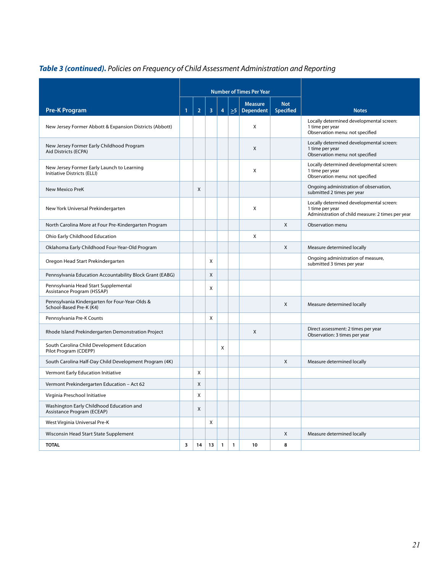|                                                                           |                         |                |                         |              |              | <b>Number of Times Per Year</b>    |                                |                                                                                                                  |
|---------------------------------------------------------------------------|-------------------------|----------------|-------------------------|--------------|--------------|------------------------------------|--------------------------------|------------------------------------------------------------------------------------------------------------------|
|                                                                           |                         |                |                         |              |              |                                    |                                |                                                                                                                  |
| <b>Pre-K Program</b>                                                      | 1                       | $\overline{2}$ | $\overline{\mathbf{3}}$ | 4            | $\geq 5$     | <b>Measure</b><br><b>Dependent</b> | <b>Not</b><br><b>Specified</b> | <b>Notes</b>                                                                                                     |
| New Jersey Former Abbott & Expansion Districts (Abbott)                   |                         |                |                         |              |              | X                                  |                                | Locally determined developmental screen:<br>1 time per year<br>Observation menu: not specified                   |
| New Jersey Former Early Childhood Program<br>Aid Districts (ECPA)         |                         |                |                         |              |              | Χ                                  |                                | Locally determined developmental screen:<br>1 time per year<br>Observation menu: not specified                   |
| New Jersey Former Early Launch to Learning<br>Initiative Districts (ELLI) |                         |                |                         |              |              | X                                  |                                | Locally determined developmental screen:<br>1 time per year<br>Observation menu: not specified                   |
| <b>New Mexico PreK</b>                                                    |                         | X              |                         |              |              |                                    |                                | Ongoing administration of observation,<br>submitted 2 times per year                                             |
| New York Universal Prekindergarten                                        |                         |                |                         |              |              | X                                  |                                | Locally determined developmental screen:<br>1 time per year<br>Administration of child measure: 2 times per year |
| North Carolina More at Four Pre-Kindergarten Program                      |                         |                |                         |              |              |                                    | X                              | Observation menu                                                                                                 |
| Ohio Early Childhood Education                                            |                         |                |                         |              |              | X                                  |                                |                                                                                                                  |
| Oklahoma Early Childhood Four-Year-Old Program                            |                         |                |                         |              |              |                                    | X                              | Measure determined locally                                                                                       |
| Oregon Head Start Prekindergarten                                         |                         |                | X                       |              |              |                                    |                                | Ongoing administration of measure,<br>submitted 3 times per year                                                 |
| Pennsylvania Education Accountability Block Grant (EABG)                  |                         |                | X                       |              |              |                                    |                                |                                                                                                                  |
| Pennsylvania Head Start Supplemental<br>Assistance Program (HSSAP)        |                         |                | X                       |              |              |                                    |                                |                                                                                                                  |
| Pennsylvania Kindergarten for Four-Year-Olds &<br>School-Based Pre-K (K4) |                         |                |                         |              |              |                                    | X                              | Measure determined locally                                                                                       |
| Pennsylvania Pre-K Counts                                                 |                         |                | X                       |              |              |                                    |                                |                                                                                                                  |
| Rhode Island Prekindergarten Demonstration Project                        |                         |                |                         |              |              | $\mathsf{X}$                       |                                | Direct assessment: 2 times per year<br>Observation: 3 times per year                                             |
| South Carolina Child Development Education<br>Pilot Program (CDEPP)       |                         |                |                         | X            |              |                                    |                                |                                                                                                                  |
| South Carolina Half-Day Child Development Program (4K)                    |                         |                |                         |              |              |                                    | X                              | Measure determined locally                                                                                       |
| Vermont Early Education Initiative                                        |                         | X              |                         |              |              |                                    |                                |                                                                                                                  |
| Vermont Prekindergarten Education - Act 62                                |                         | X              |                         |              |              |                                    |                                |                                                                                                                  |
| Virginia Preschool Initiative                                             |                         | X              |                         |              |              |                                    |                                |                                                                                                                  |
| Washington Early Childhood Education and<br>Assistance Program (ECEAP)    |                         | X              |                         |              |              |                                    |                                |                                                                                                                  |
| West Virginia Universal Pre-K                                             |                         |                | X                       |              |              |                                    |                                |                                                                                                                  |
| Wisconsin Head Start State Supplement                                     |                         |                |                         |              |              |                                    | X                              | Measure determined locally                                                                                       |
| <b>TOTAL</b>                                                              | $\overline{\mathbf{3}}$ | 14             | 13                      | $\mathbf{1}$ | $\mathbf{1}$ | 10                                 | 8                              |                                                                                                                  |

# *Table 3 (continued). Policies on Frequency of Child Assessment Administration and Reporting*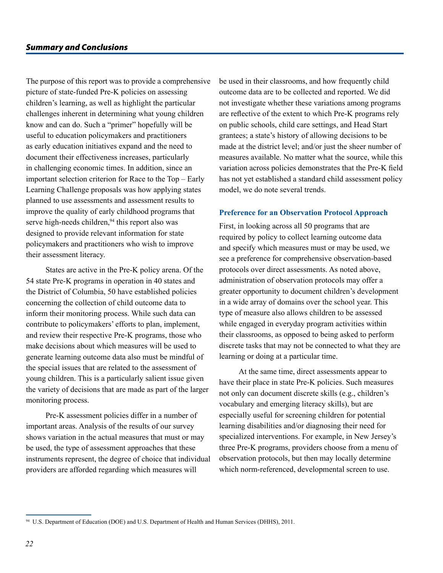The purpose of this report was to provide a comprehensive picture of state-funded Pre-K policies on assessing children's learning, as well as highlight the particular challenges inherent in determining what young children know and can do. Such a "primer" hopefully will be useful to education policymakers and practitioners as early education initiatives expand and the need to document their effectiveness increases, particularly in challenging economic times. In addition, since an important selection criterion for Race to the Top – Early Learning Challenge proposals was how applying states planned to use assessments and assessment results to improve the quality of early childhood programs that serve high-needs children,<sup>94</sup> this report also was designed to provide relevant information for state policymakers and practitioners who wish to improve their assessment literacy.

States are active in the Pre-K policy arena. Of the 54 state Pre-K programs in operation in 40 states and the District of Columbia, 50 have established policies concerning the collection of child outcome data to inform their monitoring process. While such data can contribute to policymakers' efforts to plan, implement, and review their respective Pre-K programs, those who make decisions about which measures will be used to generate learning outcome data also must be mindful of the special issues that are related to the assessment of young children. This is a particularly salient issue given the variety of decisions that are made as part of the larger monitoring process.

Pre-K assessment policies differ in a number of important areas. Analysis of the results of our survey shows variation in the actual measures that must or may be used, the type of assessment approaches that these instruments represent, the degree of choice that individual providers are afforded regarding which measures will

be used in their classrooms, and how frequently child outcome data are to be collected and reported. We did not investigate whether these variations among programs are reflective of the extent to which Pre-K programs rely on public schools, child care settings, and Head Start grantees; a state's history of allowing decisions to be made at the district level; and/or just the sheer number of measures available. No matter what the source, while this variation across policies demonstrates that the Pre-K field has not yet established a standard child assessment policy model, we do note several trends.

#### **Preference for an Observation Protocol Approach**

First, in looking across all 50 programs that are required by policy to collect learning outcome data and specify which measures must or may be used, we see a preference for comprehensive observation-based protocols over direct assessments. As noted above, administration of observation protocols may offer a greater opportunity to document children's development in a wide array of domains over the school year. This type of measure also allows children to be assessed while engaged in everyday program activities within their classrooms, as opposed to being asked to perform discrete tasks that may not be connected to what they are learning or doing at a particular time.

At the same time, direct assessments appear to have their place in state Pre-K policies. Such measures not only can document discrete skills (e.g., children's vocabulary and emerging literacy skills), but are especially useful for screening children for potential learning disabilities and/or diagnosing their need for specialized interventions. For example, in New Jersey's three Pre-K programs, providers choose from a menu of observation protocols, but then may locally determine which norm-referenced, developmental screen to use.

<sup>94</sup> U.S. Department of Education (DOE) and U.S. Department of Health and Human Services (DHHS), 2011.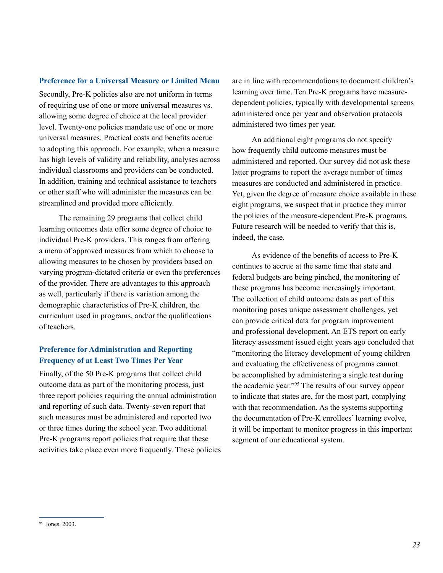#### **Preference for a Universal Measure or Limited Menu**

Secondly, Pre-K policies also are not uniform in terms of requiring use of one or more universal measures vs. allowing some degree of choice at the local provider level. Twenty-one policies mandate use of one or more universal measures. Practical costs and benefits accrue to adopting this approach. For example, when a measure has high levels of validity and reliability, analyses across individual classrooms and providers can be conducted. In addition, training and technical assistance to teachers or other staff who will administer the measures can be streamlined and provided more efficiently.

The remaining 29 programs that collect child learning outcomes data offer some degree of choice to individual Pre-K providers. This ranges from offering a menu of approved measures from which to choose to allowing measures to be chosen by providers based on varying program-dictated criteria or even the preferences of the provider. There are advantages to this approach as well, particularly if there is variation among the demographic characteristics of Pre‑K children, the curriculum used in programs, and/or the qualifications of teachers.

## **Preference for Administration and Reporting Frequency of at Least Two Times Per Year**

Finally, of the 50 Pre-K programs that collect child outcome data as part of the monitoring process, just three report policies requiring the annual administration and reporting of such data. Twenty-seven report that such measures must be administered and reported two or three times during the school year. Two additional Pre-K programs report policies that require that these activities take place even more frequently. These policies

are in line with recommendations to document children's learning over time. Ten Pre-K programs have measuredependent policies, typically with developmental screens administered once per year and observation protocols administered two times per year.

An additional eight programs do not specify how frequently child outcome measures must be administered and reported. Our survey did not ask these latter programs to report the average number of times measures are conducted and administered in practice. Yet, given the degree of measure choice available in these eight programs, we suspect that in practice they mirror the policies of the measure-dependent Pre-K programs. Future research will be needed to verify that this is, indeed, the case.

As evidence of the benefits of access to Pre-K continues to accrue at the same time that state and federal budgets are being pinched, the monitoring of these programs has become increasingly important. The collection of child outcome data as part of this monitoring poses unique assessment challenges, yet can provide critical data for program improvement and professional development. An ETS report on early literacy assessment issued eight years ago concluded that "monitoring the literacy development of young children and evaluating the effectiveness of programs cannot be accomplished by administering a single test during the academic year."95 The results of our survey appear to indicate that states are, for the most part, complying with that recommendation. As the systems supporting the documentation of Pre-K enrollees' learning evolve, it will be important to monitor progress in this important segment of our educational system.

<sup>95</sup> Jones, 2003.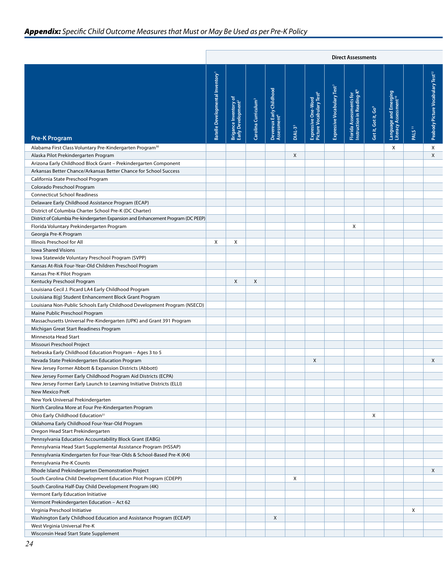|                                                                                   |                                         |                                   |              |                                                            |              |                                  |         | <b>Direct Assessments</b>                                   |                    |                                        |                    |                        |  |  |  |  |
|-----------------------------------------------------------------------------------|-----------------------------------------|-----------------------------------|--------------|------------------------------------------------------------|--------------|----------------------------------|---------|-------------------------------------------------------------|--------------------|----------------------------------------|--------------------|------------------------|--|--|--|--|
|                                                                                   |                                         |                                   |              |                                                            |              |                                  |         |                                                             |                    |                                        |                    |                        |  |  |  |  |
|                                                                                   | entory<br>ntal In<br><b>Batelle Dev</b> | ≥<br>Brigance Inv<br>Early Develd | na Cl        | <b>IN Chil</b><br>Devereux Earl<br>Assessment <sup>4</sup> |              | ÷ ō<br>Expressive<br>Picture Voc | ressive | $\frac{5}{9}$<br>≣ ≃<br>Florida Assessr<br>Instruction in F | Get it, Got it, Go | Language and Eme<br>Literacy Assessmer |                    | ٦.<br>قل<br>ٶ<br>Pictu |  |  |  |  |
|                                                                                   |                                         |                                   | ී            |                                                            | $DIAL-35$    |                                  |         |                                                             |                    |                                        | PALS <sup>11</sup> | Peabody                |  |  |  |  |
| <b>Pre-K Program</b>                                                              |                                         |                                   |              |                                                            |              |                                  |         |                                                             |                    |                                        |                    |                        |  |  |  |  |
| Alabama First Class Voluntary Pre-Kindergarten Program <sup>30</sup>              |                                         |                                   |              |                                                            |              |                                  |         |                                                             |                    | X                                      |                    | $\mathsf{X}$           |  |  |  |  |
| Alaska Pilot Prekindergarten Program                                              |                                         |                                   |              |                                                            | $\mathsf{X}$ |                                  |         |                                                             |                    |                                        |                    | $\mathsf{X}$           |  |  |  |  |
| Arizona Early Childhood Block Grant - Prekindergarten Component                   |                                         |                                   |              |                                                            |              |                                  |         |                                                             |                    |                                        |                    |                        |  |  |  |  |
| Arkansas Better Chance/Arkansas Better Chance for School Success                  |                                         |                                   |              |                                                            |              |                                  |         |                                                             |                    |                                        |                    |                        |  |  |  |  |
| California State Preschool Program                                                |                                         |                                   |              |                                                            |              |                                  |         |                                                             |                    |                                        |                    |                        |  |  |  |  |
| Colorado Preschool Program                                                        |                                         |                                   |              |                                                            |              |                                  |         |                                                             |                    |                                        |                    |                        |  |  |  |  |
| <b>Connecticut School Readiness</b>                                               |                                         |                                   |              |                                                            |              |                                  |         |                                                             |                    |                                        |                    |                        |  |  |  |  |
| Delaware Early Childhood Assistance Program (ECAP)                                |                                         |                                   |              |                                                            |              |                                  |         |                                                             |                    |                                        |                    |                        |  |  |  |  |
| District of Columbia Charter School Pre-K (DC Charter)                            |                                         |                                   |              |                                                            |              |                                  |         |                                                             |                    |                                        |                    |                        |  |  |  |  |
| District of Columbia Pre-kindergarten Expansion and Enhancement Program (DC PEEP) |                                         |                                   |              |                                                            |              |                                  |         |                                                             |                    |                                        |                    |                        |  |  |  |  |
| Florida Voluntary Prekindergarten Program                                         |                                         |                                   |              |                                                            |              |                                  |         | $\mathsf{X}$                                                |                    |                                        |                    |                        |  |  |  |  |
| Georgia Pre-K Program                                                             |                                         |                                   |              |                                                            |              |                                  |         |                                                             |                    |                                        |                    |                        |  |  |  |  |
| Illinois Preschool for All                                                        | X                                       | $\mathsf{X}$                      |              |                                                            |              |                                  |         |                                                             |                    |                                        |                    |                        |  |  |  |  |
| <b>Iowa Shared Visions</b>                                                        |                                         |                                   |              |                                                            |              |                                  |         |                                                             |                    |                                        |                    |                        |  |  |  |  |
| Iowa Statewide Voluntary Preschool Program (SVPP)                                 |                                         |                                   |              |                                                            |              |                                  |         |                                                             |                    |                                        |                    |                        |  |  |  |  |
| Kansas At-Risk Four-Year-Old Children Preschool Program                           |                                         |                                   |              |                                                            |              |                                  |         |                                                             |                    |                                        |                    |                        |  |  |  |  |
| Kansas Pre-K Pilot Program                                                        |                                         |                                   |              |                                                            |              |                                  |         |                                                             |                    |                                        |                    |                        |  |  |  |  |
| Kentucky Preschool Program                                                        |                                         | $\mathsf{X}$                      | $\mathsf{X}$ |                                                            |              |                                  |         |                                                             |                    |                                        |                    |                        |  |  |  |  |
| Louisiana Cecil J. Picard LA4 Early Childhood Program                             |                                         |                                   |              |                                                            |              |                                  |         |                                                             |                    |                                        |                    |                        |  |  |  |  |
| Louisiana 8(g) Student Enhancement Block Grant Program                            |                                         |                                   |              |                                                            |              |                                  |         |                                                             |                    |                                        |                    |                        |  |  |  |  |
| Louisiana Non-Public Schools Early Childhood Development Program (NSECD)          |                                         |                                   |              |                                                            |              |                                  |         |                                                             |                    |                                        |                    |                        |  |  |  |  |
| Maine Public Preschool Program                                                    |                                         |                                   |              |                                                            |              |                                  |         |                                                             |                    |                                        |                    |                        |  |  |  |  |
| Massachusetts Universal Pre-Kindergarten (UPK) and Grant 391 Program              |                                         |                                   |              |                                                            |              |                                  |         |                                                             |                    |                                        |                    |                        |  |  |  |  |
| Michigan Great Start Readiness Program                                            |                                         |                                   |              |                                                            |              |                                  |         |                                                             |                    |                                        |                    |                        |  |  |  |  |
| Minnesota Head Start                                                              |                                         |                                   |              |                                                            |              |                                  |         |                                                             |                    |                                        |                    |                        |  |  |  |  |
| Missouri Preschool Project                                                        |                                         |                                   |              |                                                            |              |                                  |         |                                                             |                    |                                        |                    |                        |  |  |  |  |
| Nebraska Early Childhood Education Program - Ages 3 to 5                          |                                         |                                   |              |                                                            |              |                                  |         |                                                             |                    |                                        |                    |                        |  |  |  |  |
| Nevada State Prekindergarten Education Program                                    |                                         |                                   |              |                                                            |              | $\mathsf{X}$                     |         |                                                             |                    |                                        |                    | $\mathsf{X}$           |  |  |  |  |
| New Jersey Former Abbott & Expansion Districts (Abbott)                           |                                         |                                   |              |                                                            |              |                                  |         |                                                             |                    |                                        |                    |                        |  |  |  |  |
| New Jersey Former Early Childhood Program Aid Districts (ECPA)                    |                                         |                                   |              |                                                            |              |                                  |         |                                                             |                    |                                        |                    |                        |  |  |  |  |
| New Jersey Former Early Launch to Learning Initiative Districts (ELLI)            |                                         |                                   |              |                                                            |              |                                  |         |                                                             |                    |                                        |                    |                        |  |  |  |  |
| New Mexico PreK                                                                   |                                         |                                   |              |                                                            |              |                                  |         |                                                             |                    |                                        |                    |                        |  |  |  |  |
| New York Universal Prekindergarten                                                |                                         |                                   |              |                                                            |              |                                  |         |                                                             |                    |                                        |                    |                        |  |  |  |  |
| North Carolina More at Four Pre-Kindergarten Program                              |                                         |                                   |              |                                                            |              |                                  |         |                                                             |                    |                                        |                    |                        |  |  |  |  |
| Ohio Early Childhood Education <sup>31</sup>                                      |                                         |                                   |              |                                                            |              |                                  |         |                                                             | $\mathsf{X}$       |                                        |                    |                        |  |  |  |  |
| Oklahoma Early Childhood Four-Year-Old Program                                    |                                         |                                   |              |                                                            |              |                                  |         |                                                             |                    |                                        |                    |                        |  |  |  |  |
| Oregon Head Start Prekindergarten                                                 |                                         |                                   |              |                                                            |              |                                  |         |                                                             |                    |                                        |                    |                        |  |  |  |  |
| Pennsylvania Education Accountability Block Grant (EABG)                          |                                         |                                   |              |                                                            |              |                                  |         |                                                             |                    |                                        |                    |                        |  |  |  |  |
| Pennsylvania Head Start Supplemental Assistance Program (HSSAP)                   |                                         |                                   |              |                                                            |              |                                  |         |                                                             |                    |                                        |                    |                        |  |  |  |  |
| Pennsylvania Kindergarten for Four-Year-Olds & School-Based Pre-K (K4)            |                                         |                                   |              |                                                            |              |                                  |         |                                                             |                    |                                        |                    |                        |  |  |  |  |
| Pennsylvania Pre-K Counts                                                         |                                         |                                   |              |                                                            |              |                                  |         |                                                             |                    |                                        |                    |                        |  |  |  |  |
| Rhode Island Prekindergarten Demonstration Project                                |                                         |                                   |              |                                                            |              |                                  |         |                                                             |                    |                                        |                    | $\mathsf{X}$           |  |  |  |  |
| South Carolina Child Development Education Pilot Program (CDEPP)                  |                                         |                                   |              |                                                            | $\mathsf{X}$ |                                  |         |                                                             |                    |                                        |                    |                        |  |  |  |  |
| South Carolina Half-Day Child Development Program (4K)                            |                                         |                                   |              |                                                            |              |                                  |         |                                                             |                    |                                        |                    |                        |  |  |  |  |
| Vermont Early Education Initiative                                                |                                         |                                   |              |                                                            |              |                                  |         |                                                             |                    |                                        |                    |                        |  |  |  |  |
| Vermont Prekindergarten Education - Act 62                                        |                                         |                                   |              |                                                            |              |                                  |         |                                                             |                    |                                        |                    |                        |  |  |  |  |
| Virginia Preschool Initiative                                                     |                                         |                                   |              |                                                            |              |                                  |         |                                                             |                    |                                        | X                  |                        |  |  |  |  |
| Washington Early Childhood Education and Assistance Program (ECEAP)               |                                         |                                   |              | $\mathsf{X}$                                               |              |                                  |         |                                                             |                    |                                        |                    |                        |  |  |  |  |
| West Virginia Universal Pre-K                                                     |                                         |                                   |              |                                                            |              |                                  |         |                                                             |                    |                                        |                    |                        |  |  |  |  |
| Wisconsin Head Start State Supplement                                             |                                         |                                   |              |                                                            |              |                                  |         |                                                             |                    |                                        |                    |                        |  |  |  |  |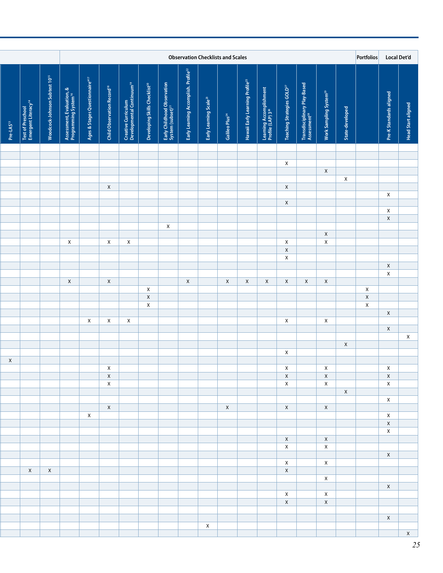| <b>Local Det'd</b>        | Portfolios                   |                 |                                    |                                                          |                                        |                                                          |                                             | <b>Observation Checklists and Scales</b> |                                    |                                            |                                                       |                                     |                                               |                                              |                             |                                                               |                               |                                                      |                       |
|---------------------------|------------------------------|-----------------|------------------------------------|----------------------------------------------------------|----------------------------------------|----------------------------------------------------------|---------------------------------------------|------------------------------------------|------------------------------------|--------------------------------------------|-------------------------------------------------------|-------------------------------------|-----------------------------------------------|----------------------------------------------|-----------------------------|---------------------------------------------------------------|-------------------------------|------------------------------------------------------|-----------------------|
| <b>Head Start aligned</b> | Pre-K Standards aligned      | State-developed | Work Sampling System <sup>29</sup> | Transdisciplinary Play-Based<br>Assessment <sup>28</sup> | Teaching Strategies GOLD <sup>27</sup> | Learning Accomplishment<br>Profile (LAP) 3 <sup>26</sup> | Hawaii Early Learning Profile <sup>25</sup> | Galileo Plus <sup>24</sup>               | Early Learning Scale <sup>23</sup> | Early Learning Accomplish. Profile $^{22}$ | Early Childhood Obse<br>System (subset) <sup>21</sup> | Developing Skills Checklist $^{20}$ | Creative Curriculum<br>Developmental Continuu | <b>Child Observation Record<sup>18</sup></b> | Ages & Stages Questionnaire | Assessment, Evaluation, &<br>Programming System <sup>16</sup> | Woodcock-Johnson Subtest 1015 | Test of Preschool<br>Emergent Literacy' <sup>4</sup> | Pre-LAS <sup>13</sup> |
|                           |                              |                 |                                    |                                                          |                                        |                                                          |                                             |                                          |                                    |                                            |                                                       |                                     |                                               |                                              |                             |                                                               |                               |                                                      |                       |
|                           |                              |                 |                                    |                                                          | $\mathsf{X}$                           |                                                          |                                             |                                          |                                    |                                            |                                                       |                                     |                                               |                                              |                             |                                                               |                               |                                                      |                       |
|                           |                              | $\mathsf{X}$    | $\mathsf{X}$                       |                                                          |                                        |                                                          |                                             |                                          |                                    |                                            |                                                       |                                     |                                               |                                              |                             |                                                               |                               |                                                      |                       |
|                           |                              |                 |                                    |                                                          | $\mathsf{X}$                           |                                                          |                                             |                                          |                                    |                                            |                                                       |                                     |                                               | $\mathsf{X}$                                 |                             |                                                               |                               |                                                      |                       |
|                           | X                            |                 |                                    |                                                          | $\mathsf{X}$                           |                                                          |                                             |                                          |                                    |                                            |                                                       |                                     |                                               |                                              |                             |                                                               |                               |                                                      |                       |
|                           | X                            |                 |                                    |                                                          |                                        |                                                          |                                             |                                          |                                    |                                            |                                                       |                                     |                                               |                                              |                             |                                                               |                               |                                                      |                       |
|                           | $\mathsf X$                  |                 |                                    |                                                          |                                        |                                                          |                                             |                                          |                                    |                                            | $\mathsf{X}$                                          |                                     |                                               |                                              |                             |                                                               |                               |                                                      |                       |
|                           |                              |                 | $\mathsf{X}$                       |                                                          |                                        |                                                          |                                             |                                          |                                    |                                            |                                                       |                                     |                                               |                                              |                             |                                                               |                               |                                                      |                       |
|                           |                              |                 | $\mathsf{X}$                       |                                                          | $\mathsf X$<br>$\mathsf X$             |                                                          |                                             |                                          |                                    |                                            |                                                       |                                     | $\mathsf{X}$                                  | $\mathsf{X}$                                 |                             | $\mathsf{X}$                                                  |                               |                                                      |                       |
|                           |                              |                 |                                    |                                                          | $\mathsf{X}$                           |                                                          |                                             |                                          |                                    |                                            |                                                       |                                     |                                               |                                              |                             |                                                               |                               |                                                      |                       |
|                           | $\mathsf X$                  |                 |                                    |                                                          |                                        |                                                          |                                             |                                          |                                    |                                            |                                                       |                                     |                                               |                                              |                             |                                                               |                               |                                                      |                       |
|                           | $\mathsf{X}$                 |                 | $\mathsf{X}$                       | $\mathsf{X}$                                             | $\mathsf{X}$                           | $\mathsf{X}$                                             | $\mathsf{X}$                                | $\mathsf{X}$                             |                                    | $\mathsf{X}$                               |                                                       |                                     |                                               | $\mathsf{X}$                                 |                             | $\mathsf{X}$                                                  |                               |                                                      |                       |
|                           | $\mathsf{X}$                 |                 |                                    |                                                          |                                        |                                                          |                                             |                                          |                                    |                                            |                                                       | $\mathsf{X}$                        |                                               |                                              |                             |                                                               |                               |                                                      |                       |
|                           | $\mathsf{X}$<br>$\mathsf X$  |                 |                                    |                                                          |                                        |                                                          |                                             |                                          |                                    |                                            |                                                       | $\mathsf X$<br>$\mathsf X$          |                                               |                                              |                             |                                                               |                               |                                                      |                       |
|                           | $\mathsf{X}$                 |                 |                                    |                                                          |                                        |                                                          |                                             |                                          |                                    |                                            |                                                       |                                     |                                               |                                              |                             |                                                               |                               |                                                      |                       |
|                           |                              |                 | $\mathsf{X}$                       |                                                          | $\mathsf{X}$                           |                                                          |                                             |                                          |                                    |                                            |                                                       |                                     | $\mathsf{X}$                                  | $\mathsf{X}$                                 | $\mathsf{X}$                |                                                               |                               |                                                      |                       |
| $\mathsf{X}$              | $\mathsf{X}$                 |                 |                                    |                                                          |                                        |                                                          |                                             |                                          |                                    |                                            |                                                       |                                     |                                               |                                              |                             |                                                               |                               |                                                      |                       |
|                           |                              | $\mathsf{X}$    |                                    |                                                          |                                        |                                                          |                                             |                                          |                                    |                                            |                                                       |                                     |                                               |                                              |                             |                                                               |                               |                                                      |                       |
|                           |                              |                 |                                    |                                                          | $\mathsf{X}$                           |                                                          |                                             |                                          |                                    |                                            |                                                       |                                     |                                               |                                              |                             |                                                               |                               |                                                      |                       |
|                           | $\mathsf{X}$                 |                 | $\mathsf{X}$                       |                                                          | $\mathsf{X}$                           |                                                          |                                             |                                          |                                    |                                            |                                                       |                                     |                                               | $\mathsf{X}$                                 |                             |                                                               |                               |                                                      | $\mathsf X$           |
|                           | $\mathsf{X}$<br>$\mathsf{X}$ |                 | $\mathsf{X}$<br>$\mathsf{X}$       |                                                          | $\mathsf{X}$<br>X                      |                                                          |                                             |                                          |                                    |                                            |                                                       |                                     |                                               | $\mathsf{X}$<br>$\mathsf{X}$                 |                             |                                                               |                               |                                                      |                       |
|                           |                              | X               |                                    |                                                          |                                        |                                                          |                                             |                                          |                                    |                                            |                                                       |                                     |                                               |                                              |                             |                                                               |                               |                                                      |                       |
|                           | $\mathsf{X}$                 |                 | $\mathsf{X}$                       |                                                          | X                                      |                                                          |                                             | $\mathsf{X}$                             |                                    |                                            |                                                       |                                     |                                               | $\mathsf{X}$                                 |                             |                                                               |                               |                                                      |                       |
|                           | $\mathsf{X}$                 |                 |                                    |                                                          |                                        |                                                          |                                             |                                          |                                    |                                            |                                                       |                                     |                                               |                                              | $\mathsf{X}$                |                                                               |                               |                                                      |                       |
|                           | $\mathsf{X}$                 |                 |                                    |                                                          |                                        |                                                          |                                             |                                          |                                    |                                            |                                                       |                                     |                                               |                                              |                             |                                                               |                               |                                                      |                       |
|                           | X                            |                 | $\mathsf{X}$                       |                                                          | $\chi$                                 |                                                          |                                             |                                          |                                    |                                            |                                                       |                                     |                                               |                                              |                             |                                                               |                               |                                                      |                       |
|                           |                              |                 | $\mathsf{X}$                       |                                                          | $\mathsf{X}$                           |                                                          |                                             |                                          |                                    |                                            |                                                       |                                     |                                               |                                              |                             |                                                               |                               |                                                      |                       |
| X                         |                              |                 | $\mathsf{X}$                       |                                                          | $\mathsf{X}$                           |                                                          |                                             |                                          |                                    |                                            |                                                       |                                     |                                               |                                              |                             |                                                               |                               |                                                      |                       |
|                           |                              |                 |                                    |                                                          | X                                      |                                                          |                                             |                                          |                                    |                                            |                                                       |                                     |                                               |                                              |                             |                                                               | $X \mid X$                    |                                                      |                       |
|                           | $\mathsf{X}$                 |                 | $\boldsymbol{\mathsf{X}}$          |                                                          |                                        |                                                          |                                             |                                          |                                    |                                            |                                                       |                                     |                                               |                                              |                             |                                                               |                               |                                                      |                       |
|                           |                              |                 | $\mathsf{X}$                       |                                                          | $\mathsf{X}$                           |                                                          |                                             |                                          |                                    |                                            |                                                       |                                     |                                               |                                              |                             |                                                               |                               |                                                      |                       |
|                           |                              |                 | $\mathsf{X}$                       |                                                          | $\mathsf{X}$                           |                                                          |                                             |                                          |                                    |                                            |                                                       |                                     |                                               |                                              |                             |                                                               |                               |                                                      |                       |
| X                         |                              |                 |                                    |                                                          |                                        |                                                          |                                             |                                          |                                    |                                            |                                                       |                                     |                                               |                                              |                             |                                                               |                               |                                                      |                       |
|                           |                              |                 |                                    |                                                          |                                        |                                                          |                                             |                                          | $\mathsf{X}$                       |                                            |                                                       |                                     |                                               |                                              |                             |                                                               |                               |                                                      |                       |
| $\mathsf{X}$              |                              |                 |                                    |                                                          |                                        |                                                          |                                             |                                          |                                    |                                            |                                                       |                                     |                                               |                                              |                             |                                                               |                               |                                                      |                       |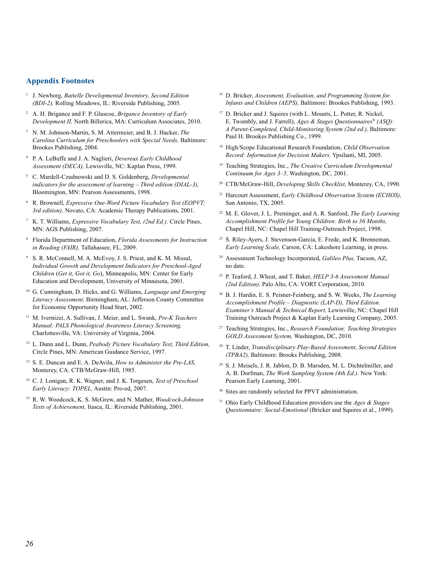#### **Appendix Footnotes**

- <sup>1</sup> J. Newborg, *Battelle Developmental Inventory, Second Edition (BDI-2),* Rolling Meadows, IL: Riverside Publishing, 2005.
- <sup>2</sup> A. H. Brigance and F. P. Glascoe, *Brigance Inventory of Early Development II,* North Billerica, MA: Curriculum Associates, 2010.
- <sup>3</sup> N. M. Johnson-Martin, S. M. Attermeier, and B. J. Hacker, *The Carolina Curriculum for Preschoolers with Special Needs,* Baltimore: Brookes Publishing, 2004.
- <sup>4</sup> P. A. LeBuffe and J. A. Naglieri, *Devereux Early Childhood Assessment (DECA),* Lewisville, NC: Kaplan Press, 1999.
- <sup>5</sup> C. Mardell-Czudnowski and D. S. Goldenberg, *Developmental indicators for the assessment of learning – Third edition (DIAL-3),* Bloomington, MN: Pearson Assessments, 1998.
- <sup>6</sup> R. Brownell, *Expressive One-Word Picture Vocabulary Test (EOPVT; 3rd edition),* Novato, CA: Academic Therapy Publications, 2001.
- <sup>7</sup> K. T. Williams, *Expressive Vocabulary Test, (2nd Ed.)*. Circle Pines, MN: AGS Publishing, 2007.
- <sup>8</sup> Florida Department of Education, *Florida Assessments for Instruction in Reading (FAIR),* Tallahassee, FL, 2009.
- <sup>9</sup> S. R. McConnell, M. A. McEvoy, J. S. Priest, and K. M. Missal, *Individual Growth and Development Indicators for Preschool-Aged Children* (*Get it, Got it, Go*), Minneapolis, MN: Center for Early Education and Development, University of Minnesota, 2001.
- <sup>10</sup> G. Cunningham, D. Hicks, and G. Williams, *Language and Emerging Literacy Assessment,* Birmingham, AL: Jefferson County Committee for Economic Opportunity Head Start, 2002.
- <sup>11</sup> M. Ivernizzi, A. Sullivan, J. Meier, and L. Swank, *Pre-K Teachers Manual: PALS Phonological Awareness Literacy Screening,* Charlottesville, VA: University of Virginia, 2004.
- <sup>12</sup> L. Dunn and L. Dunn, *Peabody Picture Vocabulary Test, Third Edition,* Circle Pines, MN: American Guidance Service, 1997.
- <sup>13</sup> S. E. Duncan and E. A. DeAvila, *How to Administer the Pre-LAS,* Monterey, CA: CTB/McGraw-Hill, 1985.
- <sup>14</sup> C. J. Lonigan, R. K. Wagner, and J. K. Torgesen, *Test of Preschool Early Literacy: TOPEL,* Austin: Pro-ed, 2007.
- <sup>15</sup> R. W. Woodcock, K. S. McGrew, and N. Mather, *Woodcock-Johnson Tests of Achievement,* Itasca, IL: Riverside Publishing, 2001.
- <sup>16</sup> D. Bricker, *Assessment, Evaluation, and Programming System for Infants and Children (AEPS),* Baltimore: Brookes Publishing, 1993.
- <sup>17</sup> D. Bricker and J. Squires (with L. Mounts, L. Potter, R. Nickel, E. Twombly, and J. Farrell), *Ages & Stages Questionnaires® (ASQ): A Parent-Completed, Child-Monitoring System (2nd ed.),* Baltimore: Paul H. Brookes Publishing Co., 1999.
- <sup>18</sup> High/Scope Educational Research Foundation, *Child Observation Record: Information for Decision Makers*. Ypsilanti, MI, 2005.
- <sup>19</sup> Teaching Strategies, Inc., *The Creative Curriculum Developmental Continuum for Ages 3–5,* Washington, DC, 2001.
- <sup>20</sup> CTB/McGraw-Hill, *Developing Skills Checklist,* Monterey, CA, 1990.
- <sup>21</sup> Harcourt Assessment, *Early Childhood Observation System (ECHOS),* San Antonio, TX, 2005.
- <sup>22</sup> M. E. Glover, J. L. Preminger, and A. R. Sanford, *The Early Learning Accomplishment Profile for Young Children: Birth to 36 Months,* Chapel Hill, NC: Chapel Hill Training-Outreach Project, 1998.
- <sup>23</sup> S. Riley-Ayers, J. Stevenson-Garcia, E. Frede, and K. Brenneman, *Early Learning Scale,* Carson, CA: Lakeshore Learning, in press.
- <sup>24</sup> Assessment Technology Incorporated, *Galileo Plus,* Tucson, AZ, no date.
- <sup>25</sup> P. Teaford, J. Wheat, and T. Baker, *HELP 3-6 Assessment Manual (2nd Edition),* Palo Alto, CA: VORT Corporation, 2010.
- <sup>26</sup> B. J. Hardin, E. S. Peisner-Feinberg, and S. W. Weeks, *The Learning Accomplishment Profile – Diagnostic (LAP-D), Third Edition. Examiner's Manual & Technical Report,* Lewisville, NC: Chapel Hill Training Outreach Project & Kaplan Early Learning Company, 2005.
- <sup>27</sup> Teaching Strategies, Inc., *Research Foundation: Teaching Strategies GOLD Assessment System,* Washington, DC, 2010.
- <sup>28</sup> T. Linder, *Transdisciplinary Play-Based Assessment, Second Edition (TPBA2),* Baltimore: Brooks Publishing, 2008.
- <sup>29</sup> S. J. Meisels, J. R. Jablon, D. B. Marsden, M. L. Dichtelmiller, and A. B. Dorfman, *The Work Sampling System (4th Ed.)*. New York: Pearson Early Learning, 2001.
- <sup>30</sup> Sites are randomly selected for PPVT administration.
- <sup>31</sup> Ohio Early Childhood Education providers use the *Ages & Stages Questionnaire: Social-Emotional* (Bricker and Squires et al., 1999).